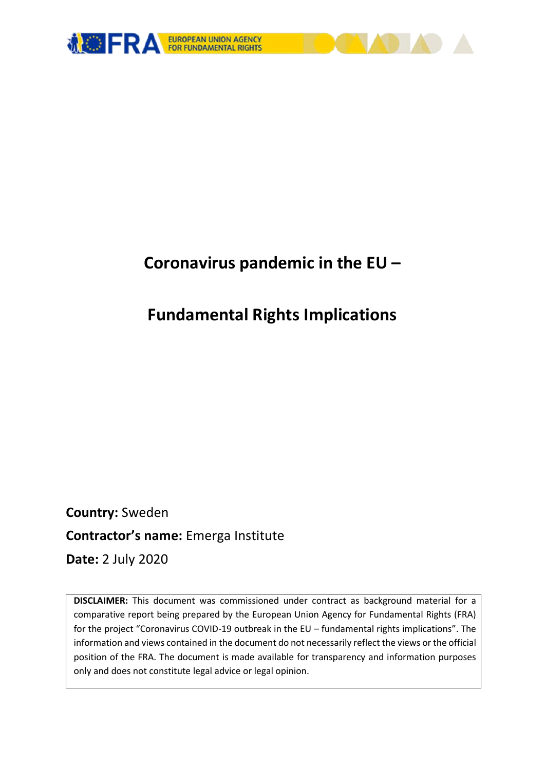

# **Coronavirus pandemic in the EU –**

# **Fundamental Rights Implications**

**Country:** Sweden **Contractor's name:** Emerga Institute **Date:** 2 July 2020

**DISCLAIMER:** This document was commissioned under contract as background material for a comparative report being prepared by the European Union Agency for Fundamental Rights (FRA) for the project "Coronavirus COVID-19 outbreak in the EU – fundamental rights implications". The information and views contained in the document do not necessarily reflect the views or the official position of the FRA. The document is made available for transparency and information purposes only and does not constitute legal advice or legal opinion.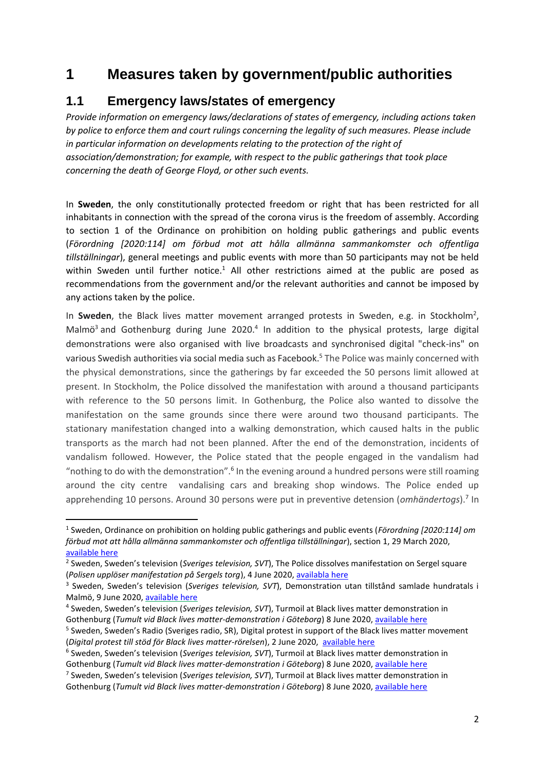# **1 Measures taken by government/public authorities**

### **1.1 Emergency laws/states of emergency**

*Provide information on emergency laws/declarations of states of emergency, including actions taken by police to enforce them and court rulings concerning the legality of such measures. Please include in particular information on developments relating to the protection of the right of association/demonstration; for example, with respect to the public gatherings that took place concerning the death of George Floyd, or other such events.*

In **Sweden**, the only constitutionally protected freedom or right that has been restricted for all inhabitants in connection with the spread of the corona virus is the freedom of assembly. According to section 1 of the Ordinance on prohibition on holding public gatherings and public events (*Förordning [2020:114] om förbud mot att hålla allmänna sammankomster och offentliga tillställningar*), general meetings and public events with more than 50 participants may not be held within Sweden until further notice.<sup>1</sup> All other restrictions aimed at the public are posed as recommendations from the government and/or the relevant authorities and cannot be imposed by any actions taken by the police.

In Sweden, the Black lives matter movement arranged protests in Sweden, e.g. in Stockholm<sup>2</sup>, Malmö<sup>3</sup> and Gothenburg during June 2020.<sup>4</sup> In addition to the physical protests, large digital demonstrations were also organised with live broadcasts and synchronised digital "check-ins" on various Swedish authorities via social media such as Facebook.<sup>5</sup> The Police was mainly concerned with the physical demonstrations, since the gatherings by far exceeded the 50 persons limit allowed at present. In Stockholm, the Police dissolved the manifestation with around a thousand participants with reference to the 50 persons limit. In Gothenburg, the Police also wanted to dissolve the manifestation on the same grounds since there were around two thousand participants. The stationary manifestation changed into a walking demonstration, which caused halts in the public transports as the march had not been planned. After the end of the demonstration, incidents of vandalism followed. However, the Police stated that the people engaged in the vandalism had "nothing to do with the demonstration".<sup>6</sup> In the evening around a hundred persons were still roaming around the city centre vandalising cars and breaking shop windows. The Police ended up apprehending 10 persons. Around 30 persons were put in preventive detension (*omhändertogs*).<sup>7</sup> In

1

<sup>1</sup> Sweden, Ordinance on prohibition on holding public gatherings and public events (*Förordning [2020:114] om förbud mot att hålla allmänna sammankomster och offentliga tillställningar*), section 1, 29 March 2020, [available here](https://www.riksdagen.se/sv/dokument-lagar/dokument/svensk-forfattningssamling/forordning-2020114-om-forbud-mot-att-halla_sfs-2020-114)

<sup>2</sup> Sweden, Sweden's television (*Sveriges television, SVT*), The Police dissolves manifestation on Sergel square (*Polisen upplöser manifestation på Sergels torg*), 4 June 2020, [availabla here](https://www.svt.se/nyheter/lokalt/stockholm/polisen-upploser-manifestation-pa-sergels-torg)

<sup>3</sup> Sweden, Sweden's television (*Sveriges television, SVT*), Demonstration utan tillstånd samlade hundratals i Malmö, 9 June 2020, [available](https://www.svt.se/nyheter/lokalt/skane/ny-antirasistisk-demonstration-i-malmo-genomfors-pa-tisdagen) here

<sup>4</sup> Sweden, Sweden's television (*Sveriges television, SVT*), Turmoil at Black lives matter demonstration in Gothenburg (*Tumult vid Black lives matter-demonstration i Göteborg*) 8 June 2020, [available here](https://www.svt.se/nyheter/lokalt/vast/demonstration-for-black-lives-matter-i-goteborg)

<sup>&</sup>lt;sup>5</sup> Sweden, Sweden's Radio (Sveriges radio, SR), Digital protest in support of the Black lives matter movement (*Digital protest till stöd för Black lives matter-rörelsen*), 2 June 2020, [available here](https://sverigesradio.se/sida/artikel.aspx?programid=478&artikel=7487141)

<sup>6</sup> Sweden, Sweden's television (*Sveriges television, SVT*), Turmoil at Black lives matter demonstration in Gothenburg (*Tumult vid Black lives matter-demonstration i Göteborg*) 8 June 2020, [available here](https://www.svt.se/nyheter/lokalt/vast/demonstration-for-black-lives-matter-i-goteborg)

<sup>7</sup> Sweden, Sweden's television (*Sveriges television, SVT*), Turmoil at Black lives matter demonstration in Gothenburg (*Tumult vid Black lives matter-demonstration i Göteborg*) 8 June 2020, [available here](https://www.svt.se/nyheter/lokalt/vast/demonstration-for-black-lives-matter-i-goteborg)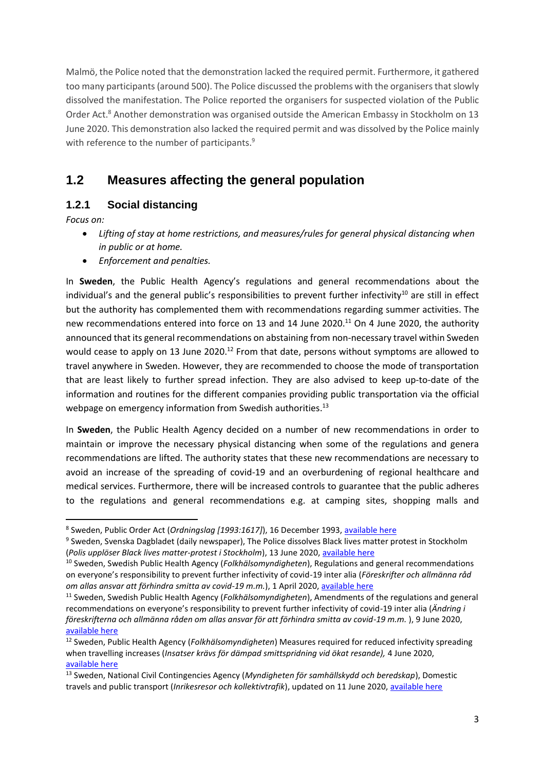Malmö, the Police noted that the demonstration lacked the required permit. Furthermore, it gathered too many participants (around 500). The Police discussed the problems with the organisers that slowly dissolved the manifestation. The Police reported the organisers for suspected violation of the Public Order Act.<sup>8</sup> Another demonstration was organised outside the American Embassy in Stockholm on 13 June 2020. This demonstration also lacked the required permit and was dissolved by the Police mainly with reference to the number of participants.<sup>9</sup>

# **1.2 Measures affecting the general population**

### **1.2.1 Social distancing**

*Focus on:* 

1

- *Lifting of stay at home restrictions, and measures/rules for general physical distancing when in public or at home.*
- *Enforcement and penalties.*

In **Sweden**, the Public Health Agency's regulations and general recommendations about the individual's and the general public's responsibilities to prevent further infectivity<sup>10</sup> are still in effect but the authority has complemented them with recommendations regarding summer activities. The new recommendations entered into force on 13 and 14 June 2020.<sup>11</sup> On 4 June 2020, the authority announced that its general recommendations on abstaining from non-necessary travel within Sweden would cease to apply on 13 June 2020.<sup>12</sup> From that date, persons without symptoms are allowed to travel anywhere in Sweden. However, they are recommended to choose the mode of transportation that are least likely to further spread infection. They are also advised to keep up-to-date of the information and routines for the different companies providing public transportation via the official webpage on emergency information from Swedish authorities.<sup>13</sup>

In **Sweden**, the Public Health Agency decided on a number of new recommendations in order to maintain or improve the necessary physical distancing when some of the regulations and genera recommendations are lifted. The authority states that these new recommendations are necessary to avoid an increase of the spreading of covid-19 and an overburdening of regional healthcare and medical services. Furthermore, there will be increased controls to guarantee that the public adheres to the regulations and general recommendations e.g. at camping sites, shopping malls and

<sup>&</sup>lt;sup>8</sup> Sweden, Public Order Act (*Ordningslag [1993:1617]*), 16 December 1993, <u>available here</u>

<sup>&</sup>lt;sup>9</sup> Sweden, Svenska Dagbladet (daily newspaper), The Police dissolves Black lives matter protest in Stockholm (*Polis upplöser Black lives matter-protest i Stockholm*), 13 June 2020[, available here](https://www.svd.se/black-lives-matter-protest-vid-usas-ambassad)

<sup>10</sup> Sweden, Swedish Public Health Agency (*Folkhälsomyndigheten*), Regulations and general recommendations on everyone's responsibility to prevent further infectivity of covid-19 inter alia (*Föreskrifter och allmänna råd om allas ansvar att förhindra smitta av covid-19 m.m.*), 1 April 2020, [available here](https://www.folkhalsomyndigheten.se/publicerat-material/publikationsarkiv/h/hslf-fs-202012/)

<sup>11</sup> Sweden, Swedish Public Health Agency (*Folkhälsomyndigheten*), Amendments of the regulations and general recommendations on everyone's responsibility to prevent further infectivity of covid-19 inter alia (*Ändring i föreskrifterna och allmänna råden om allas ansvar för att förhindra smitta av covid-19 m.m.* ), 9 June 2020, [available here](https://www.folkhalsomyndigheten.se/smittskydd-beredskap/utbrott/aktuella-utbrott/covid-19/sommaren-med-covid-19/)

<sup>12</sup> Sweden, Public Health Agency (*Folkhälsomyndigheten*) Measures required for reduced infectivity spreading when travelling increases (*Insatser krävs för dämpad smittspridning vid ökat resande),* 4 June 2020, [available here](https://www.folkhalsomyndigheten.se/nyheter-och-press/nyhetsarkiv/2020/juni/insatser-kravs-for-dampad-smittspridning-vid-okat-resande/)

<sup>13</sup> Sweden, National Civil Contingencies Agency (*Myndigheten för samhällskydd och beredskap*), Domestic travels and public transport (*Inrikesresor och kollektivtrafik*), updated on 11 June 2020[, available here](https://www.krisinformation.se/detta-kan-handa/handelser-och-storningar/20192/myndigheterna-om-det-nya-coronaviruset/inrikesresor-och-kollektivtrafik)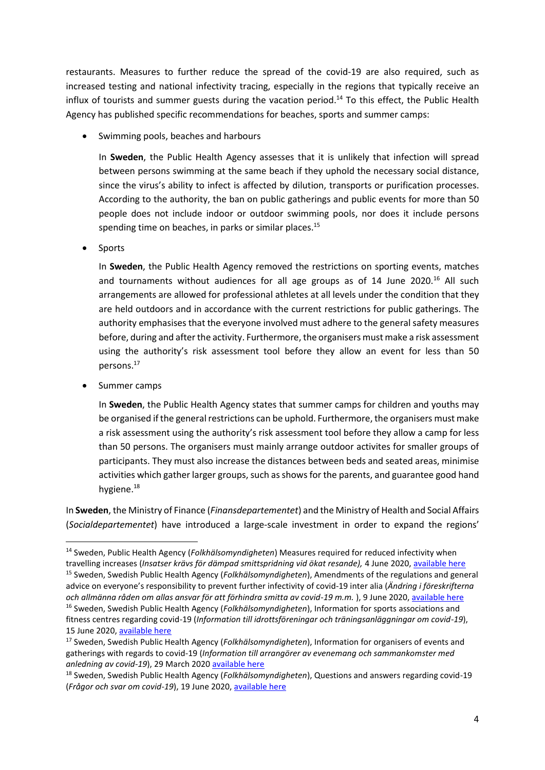restaurants. Measures to further reduce the spread of the covid-19 are also required, such as increased testing and national infectivity tracing, especially in the regions that typically receive an influx of tourists and summer guests during the vacation period.<sup>14</sup> To this effect, the Public Health Agency has published specific recommendations for beaches, sports and summer camps:

Swimming pools, beaches and harbours

In **Sweden**, the Public Health Agency assesses that it is unlikely that infection will spread between persons swimming at the same beach if they uphold the necessary social distance, since the virus's ability to infect is affected by dilution, transports or purification processes. According to the authority, the ban on public gatherings and public events for more than 50 people does not include indoor or outdoor swimming pools, nor does it include persons spending time on beaches, in parks or similar places. 15

Sports

In **Sweden**, the Public Health Agency removed the restrictions on sporting events, matches and tournaments without audiences for all age groups as of 14 June 2020.<sup>16</sup> All such arrangements are allowed for professional athletes at all levels under the condition that they are held outdoors and in accordance with the current restrictions for public gatherings. The authority emphasises that the everyone involved must adhere to the general safety measures before, during and after the activity. Furthermore, the organisers must make a risk assessment using the authority's risk assessment tool before they allow an event for less than 50 persons. 17

• Summer camps

**.** 

In **Sweden**, the Public Health Agency states that summer camps for children and youths may be organised if the general restrictions can be uphold. Furthermore, the organisers must make a risk assessment using the authority's risk assessment tool before they allow a camp for less than 50 persons. The organisers must mainly arrange outdoor activites for smaller groups of participants. They must also increase the distances between beds and seated areas, minimise activities which gather larger groups, such as shows for the parents, and guarantee good hand hygiene.<sup>18</sup>

In **Sweden**, the Ministry of Finance (*Finansdepartementet*) and the Ministry of Health and Social Affairs (*Socialdepartementet*) have introduced a large-scale investment in order to expand the regions'

<sup>14</sup> Sweden, Public Health Agency (*Folkhälsomyndigheten*) Measures required for reduced infectivity when

travelling increases (*Insatser krävs för dämpad smittspridning vid ökat resande),* 4 June 2020, [available here](https://www.folkhalsomyndigheten.se/nyheter-och-press/nyhetsarkiv/2020/juni/insatser-kravs-for-dampad-smittspridning-vid-okat-resande/) <sup>15</sup> Sweden, Swedish Public Health Agency (*Folkhälsomyndigheten*), Amendments of the regulations and general advice on everyone's responsibility to prevent further infectivity of covid-19 inter alia (*Ändring i föreskrifterna och allmänna råden om allas ansvar för att förhindra smitta av covid-19 m.m.* ), 9 June 2020, [available here](https://www.folkhalsomyndigheten.se/smittskydd-beredskap/utbrott/aktuella-utbrott/covid-19/sommaren-med-covid-19/) <sup>16</sup> Sweden, Swedish Public Health Agency (*Folkhälsomyndigheten*), Information for sports associations and fitness centres regarding covid-19 (*Information till idrottsföreningar och träningsanläggningar om covid-19*), 15 June 2020[, available here](https://www.folkhalsomyndigheten.se/smittskydd-beredskap/utbrott/aktuella-utbrott/covid-19/verksamheter/information-till-idrotts--och-traningsanlaggningar/)

<sup>17</sup> Sweden, Swedish Public Health Agency (*Folkhälsomyndigheten*), Information for organisers of events and gatherings with regards to covid-19 (*Information till arrangörer av evenemang och sammankomster med anledning av covid-19*), 29 March 2020 [available here](https://www.folkhalsomyndigheten.se/smittskydd-beredskap/utbrott/aktuella-utbrott/covid-19/verksamheter/information-till-arrangorer-av-evenemang/)

<sup>18</sup> Sweden, Swedish Public Health Agency (*Folkhälsomyndigheten*), Questions and answers regarding covid-19 (*Frågor och svar om covid-19*), 19 June 2020, [available here](https://www.folkhalsomyndigheten.se/smittskydd-beredskap/utbrott/aktuella-utbrott/covid-19/fragor-och-svar/?exp=73344#_73344)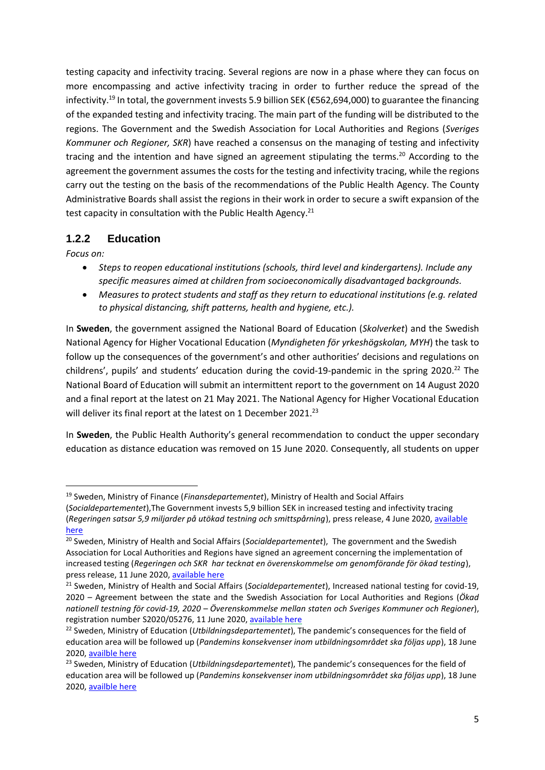testing capacity and infectivity tracing. Several regions are now in a phase where they can focus on more encompassing and active infectivity tracing in order to further reduce the spread of the infectivity.<sup>19</sup> In total, the government invests 5.9 billion SEK (€562,694,000) to guarantee the financing of the expanded testing and infectivity tracing. The main part of the funding will be distributed to the regions. The Government and the Swedish Association for Local Authorities and Regions (*Sveriges Kommuner och Regioner, SKR*) have reached a consensus on the managing of testing and infectivity tracing and the intention and have signed an agreement stipulating the terms.<sup>20</sup> According to the agreement the government assumes the costs for the testing and infectivity tracing, while the regions carry out the testing on the basis of the recommendations of the Public Health Agency. The County Administrative Boards shall assist the regions in their work in order to secure a swift expansion of the test capacity in consultation with the Public Health Agency.<sup>21</sup>

#### **1.2.2 Education**

*Focus on:*

**.** 

- *Steps to reopen educational institutions (schools, third level and kindergartens). Include any specific measures aimed at children from socioeconomically disadvantaged backgrounds.*
- *Measures to protect students and staff as they return to educational institutions (e.g. related to physical distancing, shift patterns, health and hygiene, etc.).*

In **Sweden**, the government assigned the National Board of Education (*Skolverket*) and the Swedish National Agency for Higher Vocational Education (*Myndigheten för yrkeshögskolan, MYH*) the task to follow up the consequences of the government's and other authorities' decisions and regulations on childrens', pupils' and students' education during the covid-19-pandemic in the spring 2020. <sup>22</sup> The National Board of Education will submit an intermittent report to the government on 14 August 2020 and a final report at the latest on 21 May 2021. The National Agency for Higher Vocational Education will deliver its final report at the latest on 1 December 2021.<sup>23</sup>

In **Sweden**, the Public Health Authority's general recommendation to conduct the upper secondary education as distance education was removed on 15 June 2020. Consequently, all students on upper

<sup>19</sup> Sweden, Ministry of Finance (*Finansdepartementet*), Ministry of Health and Social Affairs (*Socialdepartementet*),The Government invests 5,9 billion SEK in increased testing and infectivity tracing

<sup>(</sup>*Regeringen satsar 5,9 miljarder på utökad testning och smittspårning*), press release, 4 June 2020, [available](https://www.regeringen.se/pressmeddelanden/2020/06/regeringen-satsar-59-miljarder-pa-utokad-testning-och-smittsparning/)  [here](https://www.regeringen.se/pressmeddelanden/2020/06/regeringen-satsar-59-miljarder-pa-utokad-testning-och-smittsparning/)

<sup>20</sup> Sweden, Ministry of Health and Social Affairs (*Socialdepartementet*), The government and the Swedish Association for Local Authorities and Regions have signed an agreement concerning the implementation of increased testing (*Regeringen och SKR har tecknat en överenskommelse om genomförande för ökad testing*), press release, 11 June 2020, [available here](https://www.regeringen.se/pressmeddelanden/2020/06/regeringen-och-skr-har-tecknat-en-overenskommelse-om-genomforande-for-okad-testning/)

<sup>21</sup> Sweden, Ministry of Health and Social Affairs (*Socialdepartementet*), Increased national testing for covid-19, 2020 – Agreement between the state and the Swedish Association for Local Authorities and Regions (*Ökad nationell testning för covid-19, 2020 – Överenskommelse mellan staten och Sveriges Kommuner och Regioner*), registration number S2020/05276, 11 June 2020, [available](https://www.regeringen.se/overenskommelser-och-avtal/2020/06/okad-nationell-testning-for-covid-19-2020---overenskommelse-mellan-staten-och-sveriges-kommuner-och-regioner/) here

<sup>22</sup> Sweden, Ministry of Education (*Utbildningsdepartementet*), The pandemic's consequences for the field of education area will be followed up (*Pandemins konsekvenser inom utbildningsområdet ska följas upp*), 18 June 2020, [availble here](https://www.regeringen.se/pressmeddelanden/2020/06/pandemins-konsekvenser-inom-utbildningsomradet-ska-foljas-upp/)

<sup>23</sup> Sweden, Ministry of Education (*Utbildningsdepartementet*), The pandemic's consequences for the field of education area will be followed up (*Pandemins konsekvenser inom utbildningsområdet ska följas upp*), 18 June 2020, [availble here](https://www.regeringen.se/pressmeddelanden/2020/06/pandemins-konsekvenser-inom-utbildningsomradet-ska-foljas-upp/)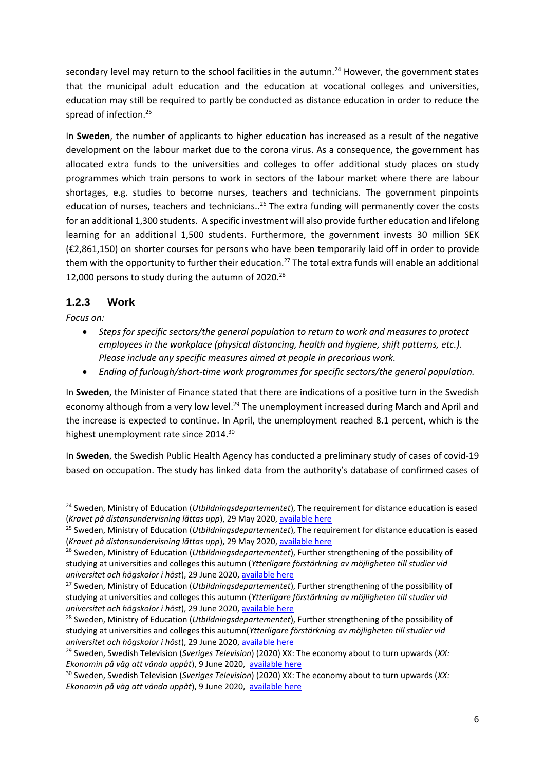secondary level may return to the school facilities in the autumn.<sup>24</sup> However, the government states that the municipal adult education and the education at vocational colleges and universities, education may still be required to partly be conducted as distance education in order to reduce the spread of infection.<sup>25</sup>

In **Sweden**, the number of applicants to higher education has increased as a result of the negative development on the labour market due to the corona virus. As a consequence, the government has allocated extra funds to the universities and colleges to offer additional study places on study programmes which train persons to work in sectors of the labour market where there are labour shortages, e.g. studies to become nurses, teachers and technicians. The government pinpoints education of nurses, teachers and technicians..<sup>26</sup> The extra funding will permanently cover the costs for an additional 1,300 students. A specific investment will also provide further education and lifelong learning for an additional 1,500 students. Furthermore, the government invests 30 million SEK (€2,861,150) on shorter courses for persons who have been temporarily laid off in order to provide them with the opportunity to further their education.<sup>27</sup> The total extra funds will enable an additional 12,000 persons to study during the autumn of 2020.<sup>28</sup>

#### **1.2.3 Work**

*Focus on:* 

- *Steps for specific sectors/the general population to return to work and measures to protect employees in the workplace (physical distancing, health and hygiene, shift patterns, etc.). Please include any specific measures aimed at people in precarious work.*
- *Ending of furlough/short-time work programmes for specific sectors/the general population.*

In **Sweden**, the Minister of Finance stated that there are indications of a positive turn in the Swedish economy although from a very low level.<sup>29</sup> The unemployment increased during March and April and the increase is expected to continue. In April, the unemployment reached 8.1 percent, which is the highest unemployment rate since 2014.<sup>30</sup>

In **Sweden**, the Swedish Public Health Agency has conducted a preliminary study of cases of covid-19 based on occupation. The study has linked data from the authority's database of confirmed cases of

<sup>1</sup> <sup>24</sup> Sweden, Ministry of Education (*Utbildningsdepartementet*), The requirement for distance education is eased (*Kravet på distansundervisning lättas upp*), 29 May 2020[, available here](https://www.regeringen.se/pressmeddelanden/2020/05/kravet-pa-distansundervisning-lattas-upp/)

<sup>25</sup> Sweden, Ministry of Education (*Utbildningsdepartementet*), The requirement for distance education is eased (*Kravet på distansundervisning lättas upp*), 29 May 2020[, available here](https://www.regeringen.se/pressmeddelanden/2020/05/kravet-pa-distansundervisning-lattas-upp/)

<sup>26</sup> Sweden, Ministry of Education (*Utbildningsdepartementet*), Further strengthening of the possibility of studying at universities and colleges this autumn (*Ytterligare förstärkning av möjligheten till studier vid universitet och högskolor i höst*), 29 June 2020, [available here](https://www.regeringen.se/pressmeddelanden/2020/06/ytterligare-forstarkning-av-mojligheten-till-studier-vid-universitet-och-hogskolor-i-host/)

<sup>27</sup> Sweden, Ministry of Education (*Utbildningsdepartementet*), Further strengthening of the possibility of studying at universities and colleges this autumn (*Ytterligare förstärkning av möjligheten till studier vid universitet och högskolor i höst*), 29 June 2020, [available here](https://www.regeringen.se/pressmeddelanden/2020/06/ytterligare-forstarkning-av-mojligheten-till-studier-vid-universitet-och-hogskolor-i-host/)

<sup>28</sup> Sweden, Ministry of Education (*Utbildningsdepartementet*), Further strengthening of the possibility of studying at universities and colleges this autumn(*Ytterligare förstärkning av möjligheten till studier vid universitet och högskolor i höst*), 29 June 2020, [available here](https://www.regeringen.se/pressmeddelanden/2020/06/ytterligare-forstarkning-av-mojligheten-till-studier-vid-universitet-och-hogskolor-i-host/)

<sup>29</sup> Sweden, Swedish Television (*Sveriges Television*) (2020) XX: The economy about to turn upwards (*XX: Ekonomin på väg att vända uppåt*), 9 June 2020, [available here](https://www.svt.se/nyheter/inrikes/magdalena-andersson-om-regeringens-atgarder)

<sup>30</sup> Sweden, Swedish Television (*Sveriges Television*) (2020) XX: The economy about to turn upwards (*XX: Ekonomin på väg att vända uppåt*), 9 June 2020, [available here](https://www.svt.se/nyheter/inrikes/magdalena-andersson-om-regeringens-atgarder)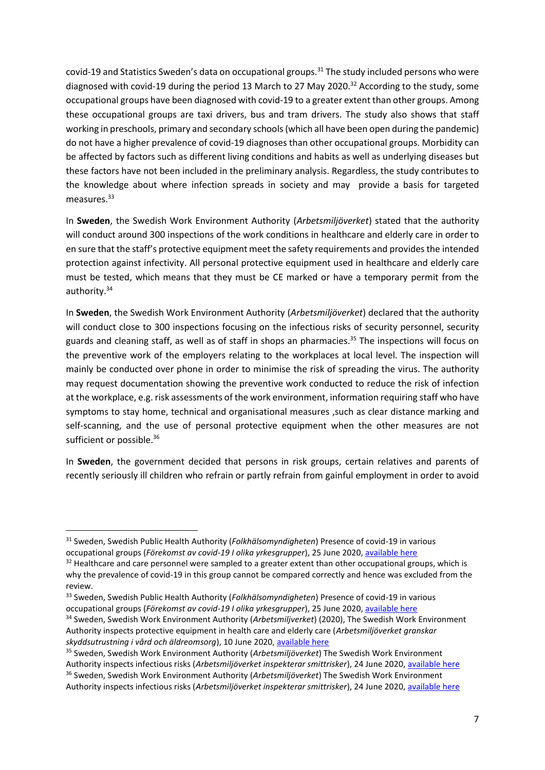covid-19 and Statistics Sweden's data on occupational groups.<sup>31</sup> The study included persons who were diagnosed with covid-19 during the period 13 March to 27 May 2020.<sup>32</sup> According to the study, some occupational groups have been diagnosed with covid-19 to a greater extent than other groups. Among these occupational groups are taxi drivers, bus and tram drivers. The study also shows that staff working in preschools, primary and secondary schools (which all have been open during the pandemic) do not have a higher prevalence of covid-19 diagnoses than other occupational groups. Morbidity can be affected by factors such as different living conditions and habits as well as underlying diseases but these factors have not been included in the preliminary analysis. Regardless, the study contributes to the knowledge about where infection spreads in society and may provide a basis for targeted measures. 33

In **Sweden**, the Swedish Work Environment Authority (*Arbetsmiljöverket*) stated that the authority will conduct around 300 inspections of the work conditions in healthcare and elderly care in order to en sure that the staff's protective equipment meet the safety requirements and provides the intended protection against infectivity. All personal protective equipment used in healthcare and elderly care must be tested, which means that they must be CE marked or have a temporary permit from the authority.<sup>34</sup>

In **Sweden**, the Swedish Work Environment Authority (*Arbetsmiljöverket*) declared that the authority will conduct close to 300 inspections focusing on the infectious risks of security personnel, security guards and cleaning staff, as well as of staff in shops an pharmacies.<sup>35</sup> The inspections will focus on the preventive work of the employers relating to the workplaces at local level. The inspection will mainly be conducted over phone in order to minimise the risk of spreading the virus. The authority may request documentation showing the preventive work conducted to reduce the risk of infection at the workplace, e.g. risk assessments of the work environment, information requiring staff who have symptoms to stay home, technical and organisational measures ,such as clear distance marking and self-scanning, and the use of personal protective equipment when the other measures are not sufficient or possible.<sup>36</sup>

In **Sweden**, the government decided that persons in risk groups, certain relatives and parents of recently seriously ill children who refrain or partly refrain from gainful employment in order to avoid

<sup>31</sup> Sweden, Swedish Public Health Authority (*Folkhälsomyndigheten*) Presence of covid-19 in various occupational groups (*Förekomst av covid-19 I olika yrkesgrupper*), 25 June 2020, [available here](https://www.folkhalsomyndigheten.se/publicerat-material/publikationsarkiv/f/forekomst-av-covid-19-i-olika-yrkesgrupper/)

 $32$  Healthcare and care personnel were sampled to a greater extent than other occupational groups, which is why the prevalence of covid-19 in this group cannot be compared correctly and hence was excluded from the review.

<sup>33</sup> Sweden, Swedish Public Health Authority (*Folkhälsomyndigheten*) Presence of covid-19 in various occupational groups (*Förekomst av covid-19 I olika yrkesgrupper*), 25 June 2020, [available here](https://www.folkhalsomyndigheten.se/publicerat-material/publikationsarkiv/f/forekomst-av-covid-19-i-olika-yrkesgrupper/)

<sup>34</sup> Sweden, Swedish Work Environment Authority (*Arbetsmiljverket*) (2020), The Swedish Work Environment Authority inspects protective equipment in health care and elderly care (*Arbetsmiljöverket granskar skyddsutrustning i vård och äldreomsorg*), 10 June 2020[, available here](https://www.av.se/press/arbetsmiljoverket-granskar-skyddsutrustning-i-vard-och-aldreomsorg/)

<sup>35</sup> Sweden, Swedish Work Environment Authority (*Arbetsmiljöverket*) The Swedish Work Environment Authority inspects infectious risks (*Arbetsmiljöverket inspekterar smittrisker*), 24 June 2020[, available here](https://www.av.se/press/arbetsmiljoverket-inspekterar-smittrisker/) <sup>36</sup> Sweden, Swedish Work Environment Authority (*Arbetsmiljöverket*) The Swedish Work Environment Authority inspects infectious risks (*Arbetsmiljöverket inspekterar smittrisker*), 24 June 2020[, available here](https://www.av.se/press/arbetsmiljoverket-inspekterar-smittrisker/)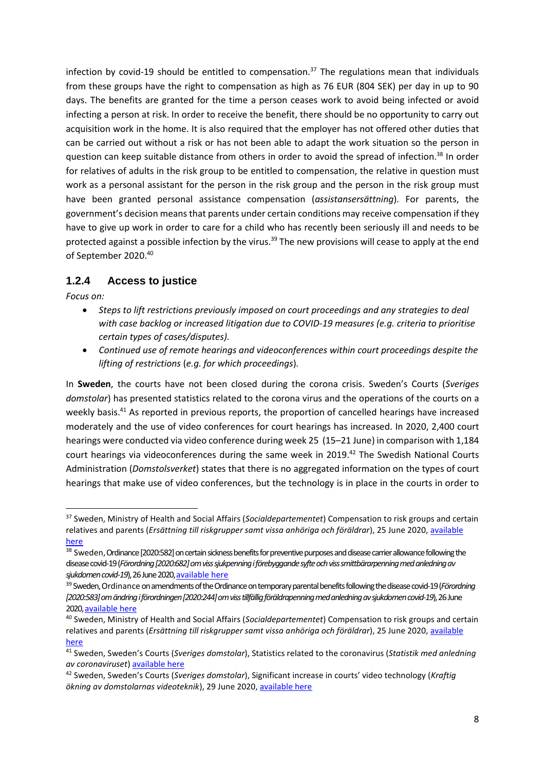infection by covid-19 should be entitled to compensation.<sup>37</sup> The regulations mean that individuals from these groups have the right to compensation as high as 76 EUR (804 SEK) per day in up to 90 days. The benefits are granted for the time a person ceases work to avoid being infected or avoid infecting a person at risk. In order to receive the benefit, there should be no opportunity to carry out acquisition work in the home. It is also required that the employer has not offered other duties that can be carried out without a risk or has not been able to adapt the work situation so the person in question can keep suitable distance from others in order to avoid the spread of infection.<sup>38</sup> In order for relatives of adults in the risk group to be entitled to compensation, the relative in question must work as a personal assistant for the person in the risk group and the person in the risk group must have been granted personal assistance compensation (*assistansersättning*). For parents, the government's decision means that parents under certain conditions may receive compensation if they have to give up work in order to care for a child who has recently been seriously ill and needs to be protected against a possible infection by the virus.<sup>39</sup> The new provisions will cease to apply at the end of September 2020.<sup>40</sup>

#### **1.2.4 Access to justice**

*Focus on:* 

**.** 

- *Steps to lift restrictions previously imposed on court proceedings and any strategies to deal with case backlog or increased litigation due to COVID-19 measures (e.g. criteria to prioritise certain types of cases/disputes).*
- *Continued use of remote hearings and videoconferences within court proceedings despite the lifting of restrictions* (*e.g. for which proceedings*)*.*

In **Sweden**, the courts have not been closed during the corona crisis. Sweden's Courts (*Sveriges domstolar*) has presented statistics related to the corona virus and the operations of the courts on a weekly basis.<sup>41</sup> As reported in previous reports, the proportion of cancelled hearings have increased moderately and the use of video conferences for court hearings has increased. In 2020, 2,400 court hearings were conducted via video conference during week 25 (15–21 June) in comparison with 1,184 court hearings via videoconferences during the same week in 2019.<sup>42</sup> The Swedish National Courts Administration (*Domstolsverket*) states that there is no aggregated information on the types of court hearings that make use of video conferences, but the technology is in place in the courts in order to

<sup>37</sup> Sweden, Ministry of Health and Social Affairs (*Socialdepartementet*) Compensation to risk groups and certain relatives and parents (*Ersättning till riskgrupper samt vissa anhöriga och föräldrar*), 25 June 2020, [available](https://www.regeringen.se/artiklar/2020/06/ersattning-till-riskgrupper-samt-vissa-anhoriga-och-foraldrar/)  [here](https://www.regeringen.se/artiklar/2020/06/ersattning-till-riskgrupper-samt-vissa-anhoriga-och-foraldrar/)

<sup>&</sup>lt;sup>38</sup> Sweden, Ordinance [2020:582] on certain sickness benefits for preventive purposes and disease carrier allowance following the disease covid-19 (*Förordning [2020:682] om viss sjukpenning i förebyggande syfte och viss smittbärarpenning med anledning av sjukdomen covid-19*), 26 June 202[0, available here](https://www.svenskforfattningssamling.se/doc/2020582.html)

<sup>39</sup> Sweden, Ordinance on amendments of the Ordinance on temporary parental benefits following the disease covid-19 (*Förordning [2020:583] om ändring i förordningen [2020:244] om viss tillfällig föräldrapenning med anledning av sjukdomen covid-19*), 26 June 202[0, available here](https://www.svenskforfattningssamling.se/doc/2020583.html)

<sup>40</sup> Sweden, Ministry of Health and Social Affairs (*Socialdepartementet*) Compensation to risk groups and certain relatives and parents (*Ersättning till riskgrupper samt vissa anhöriga och föräldrar*), 25 June 2020, [available](https://www.regeringen.se/artiklar/2020/06/ersattning-till-riskgrupper-samt-vissa-anhoriga-och-foraldrar/)  [here](https://www.regeringen.se/artiklar/2020/06/ersattning-till-riskgrupper-samt-vissa-anhoriga-och-foraldrar/)

<sup>41</sup> Sweden, Sweden's Courts (*Sveriges domstolar*), Statistics related to the coronavirus (*Statistik med anledning av coronaviruset*[\) available here](https://www.domstol.se/om-sveriges-domstolar/statistik-styrning-och-utveckling/statistik/statistik-med-anledning-av-coronaviruset/)

<sup>42</sup> Sweden, Sweden's Courts (*Sveriges domstolar*), Significant increase in courts' video technology (*Kraftig ökning av domstolarnas videoteknik*), 29 June 2020, [available here](https://www.domstol.se/nyheter/2020/04/kraftig-okning-av-domstolarnas-anvandning-av-videoteknik/)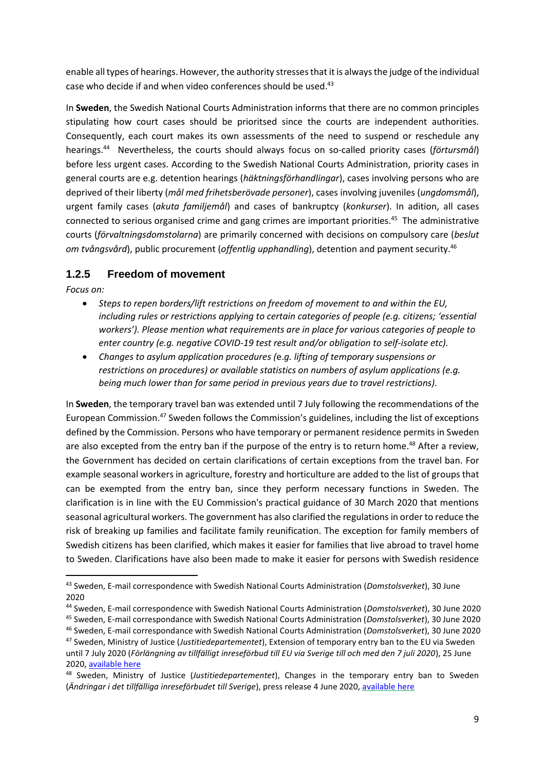enable all types of hearings. However, the authority stresses that it is always the judge of the individual case who decide if and when video conferences should be used.<sup>43</sup>

In **Sweden**, the Swedish National Courts Administration informs that there are no common principles stipulating how court cases should be prioritsed since the courts are independent authorities. Consequently, each court makes its own assessments of the need to suspend or reschedule any hearings. <sup>44</sup> Nevertheless, the courts should always focus on so-called priority cases (*förtursmål*) before less urgent cases. According to the Swedish National Courts Administration, priority cases in general courts are e.g. detention hearings (*häktningsförhandlingar*), cases involving persons who are deprived of their liberty (*mål med frihetsberövade personer*), cases involving juveniles (*ungdomsmål*), urgent family cases (*akuta familjemål*) and cases of bankruptcy (*konkurser*). In adition, all cases connected to serious organised crime and gang crimes are important priorities.<sup>45</sup> The administrative courts (*förvaltningsdomstolarna*) are primarily concerned with decisions on compulsory care (*beslut om tvångsvård*), public procurement (*offentlig upphandling*), detention and payment security.<sup>46</sup>

#### **1.2.5 Freedom of movement**

*Focus on:* 

1

- *Steps to repen borders/lift restrictions on freedom of movement to and within the EU, including rules or restrictions applying to certain categories of people (e.g. citizens; 'essential workers'). Please mention what requirements are in place for various categories of people to enter country (e.g. negative COVID-19 test result and/or obligation to self-isolate etc).*
- *Changes to asylum application procedures (*e.*g. lifting of temporary suspensions or restrictions on procedures) or available statistics on numbers of asylum applications (e.g. being much lower than for same period in previous years due to travel restrictions).*

In **Sweden**, the temporary travel ban was extended until 7 July following the recommendations of the European Commission. <sup>47</sup> Sweden follows the Commission's guidelines, including the list of exceptions defined by the Commission. Persons who have temporary or permanent residence permits in Sweden are also excepted from the entry ban if the purpose of the entry is to return home.<sup>48</sup> After a review, the Government has decided on certain clarifications of certain exceptions from the travel ban. For example seasonal workers in agriculture, forestry and horticulture are added to the list of groups that can be exempted from the entry ban, since they perform necessary functions in Sweden. The clarification is in line with the EU Commission's practical guidance of 30 March 2020 that mentions seasonal agricultural workers. The government has also clarified the regulations in order to reduce the risk of breaking up families and facilitate family reunification. The exception for family members of Swedish citizens has been clarified, which makes it easier for families that live abroad to travel home to Sweden. Clarifications have also been made to make it easier for persons with Swedish residence

<sup>43</sup> Sweden, E-mail correspondence with Swedish National Courts Administration (*Domstolsverket*), 30 June 2020

<sup>44</sup> Sweden, E-mail correspondence with Swedish National Courts Administration (*Domstolsverket*), 30 June 2020

<sup>45</sup> Sweden, E-mail correspondance with Swedish National Courts Administration (*Domstolsverket*), 30 June 2020

<sup>46</sup> Sweden, E-mail correspondance with Swedish National Courts Administration (*Domstolsverket*), 30 June 2020

<sup>47</sup> Sweden, Ministry of Justice (*Justitiedepartementet*), Extension of temporary entry ban to the EU via Sweden until 7 July 2020 (*Förlängning av tillfälligt inreseförbud till EU via Sverige till och med den 7 juli 2020*), 25 June 2020, [available here](https://www.regeringen.se/pressmeddelanden/2020/06/forlangning-av-tillfalligt-inreseforbud-till-eu-via-sverige-till-och-med-den-7-juli-2020/)

<sup>48</sup> Sweden, Ministry of Justice (*Justitiedepartementet*), Changes in the temporary entry ban to Sweden (*Ändringar i det tillfälliga inreseförbudet till Sverige*), press release 4 June 2020, [available](https://www.regeringen.se/pressmeddelanden/2020/06/andringar-i-det-tillfalliga-inreseforbudet-till-sverige/) here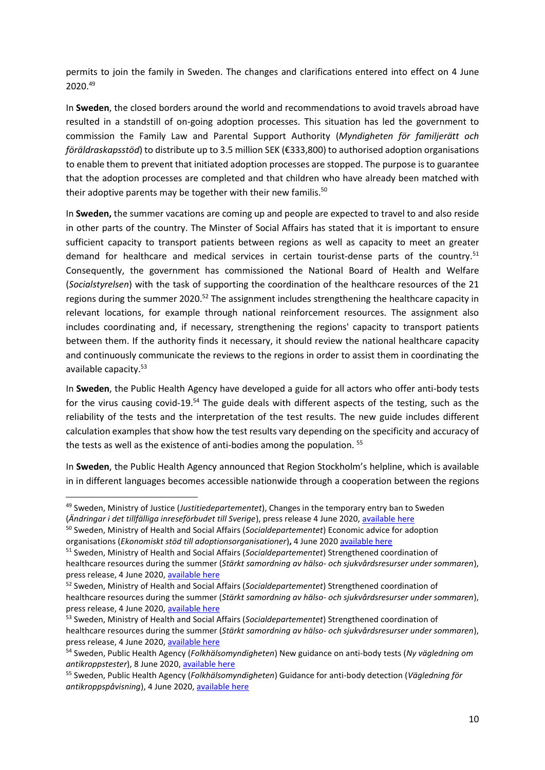permits to join the family in Sweden. The changes and clarifications entered into effect on 4 June 2020.<sup>49</sup>

In **Sweden**, the closed borders around the world and recommendations to avoid travels abroad have resulted in a standstill of on-going adoption processes. This situation has led the government to commission the Family Law and Parental Support Authority (*Myndigheten för familjerätt och föräldraskapsstöd*) to distribute up to 3.5 million SEK (€333,800) to authorised adoption organisations to enable them to prevent that initiated adoption processes are stopped. The purpose is to guarantee that the adoption processes are completed and that children who have already been matched with their adoptive parents may be together with their new familis.<sup>50</sup>

In **Sweden,** the summer vacations are coming up and people are expected to travel to and also reside in other parts of the country. The Minster of Social Affairs has stated that it is important to ensure sufficient capacity to transport patients between regions as well as capacity to meet an greater demand for healthcare and medical services in certain tourist-dense parts of the country.<sup>51</sup> Consequently, the government has commissioned the National Board of Health and Welfare (*Socialstyrelsen*) with the task of supporting the coordination of the healthcare resources of the 21 regions during the summer 2020.<sup>52</sup> The assignment includes strengthening the healthcare capacity in relevant locations, for example through national reinforcement resources. The assignment also includes coordinating and, if necessary, strengthening the regions' capacity to transport patients between them. If the authority finds it necessary, it should review the national healthcare capacity and continuously communicate the reviews to the regions in order to assist them in coordinating the available capacity.<sup>53</sup>

In **Sweden**, the Public Health Agency have developed a guide for all actors who offer anti-body tests for the virus causing covid-19.<sup>54</sup> The guide deals with different aspects of the testing, such as the reliability of the tests and the interpretation of the test results. The new guide includes different calculation examples that show how the test results vary depending on the specificity and accuracy of the tests as well as the existence of anti-bodies among the population.<sup>55</sup>

In **Sweden**, the Public Health Agency announced that Region Stockholm's helpline, which is available in in different languages becomes accessible nationwide through a cooperation between the regions

1

<sup>50</sup> Sweden, Ministry of Health and Social Affairs (*Socialdepartementet*) Economic advice for adoption organisations (*Ekonomiskt stöd till adoptionsorganisationer*)**,** 4 June 2020 [available here](https://www.regeringen.se/pressmeddelanden/2020/06/ekonomiskt-stod-till-adoptionsorganisationer/)

<sup>49</sup> Sweden, Ministry of Justice (*Justitiedepartementet*), Changes in the temporary entry ban to Sweden (*Ändringar i det tillfälliga inreseförbudet till Sverige*), press release 4 June 2020, [available here](https://www.regeringen.se/pressmeddelanden/2020/06/andringar-i-det-tillfalliga-inreseforbudet-till-sverige/)

<sup>51</sup> Sweden, Ministry of Health and Social Affairs (*Socialdepartementet*) Strengthened coordination of healthcare resources during the summer (*Stärkt samordning av hälso- och sjukvårdsresurser under sommaren*), press release, 4 June 2020, [available here](https://www.regeringen.se/pressmeddelanden/2020/06/starkt-samordning-av-halso--och-sjukvardsresurser-under-sommaren/)

<sup>52</sup> Sweden, Ministry of Health and Social Affairs (*Socialdepartementet*) Strengthened coordination of healthcare resources during the summer (*Stärkt samordning av hälso- och sjukvårdsresurser under sommaren*), press release, 4 June 2020, [available here](https://www.regeringen.se/pressmeddelanden/2020/06/starkt-samordning-av-halso--och-sjukvardsresurser-under-sommaren/)

<sup>53</sup> Sweden, Ministry of Health and Social Affairs (*Socialdepartementet*) Strengthened coordination of healthcare resources during the summer (*Stärkt samordning av hälso- och sjukvårdsresurser under sommaren*), press release, 4 June 2020, [available here](https://www.regeringen.se/pressmeddelanden/2020/06/starkt-samordning-av-halso--och-sjukvardsresurser-under-sommaren/)

<sup>54</sup> Sweden, Public Health Agency (*Folkhälsomyndigheten*) New guidance on anti-body tests (*Ny vägledning om antikroppstester*), 8 June 2020, [available here](https://www.folkhalsomyndigheten.se/nyheter-och-press/nyhetsarkiv/2020/juni/ny-vagledning-om-antikroppstester/)

<sup>55</sup> Sweden, Public Health Agency (*Folkhälsomyndigheten*) Guidance for anti-body detection (*Vägledning för antikroppspåvisning*), 4 June 2020, [available here](https://www.folkhalsomyndigheten.se/publicerat-material/publikationsarkiv/v/vagledning-for-antikroppspavisning/)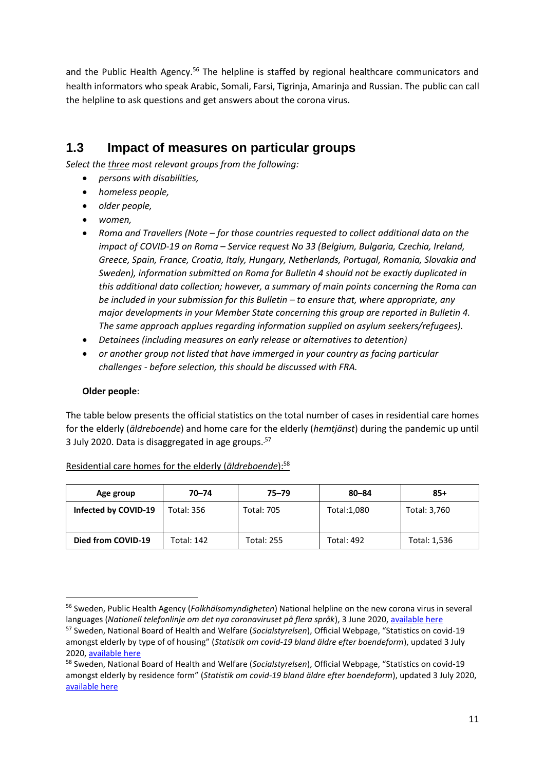and the Public Health Agency.<sup>56</sup> The helpline is staffed by regional healthcare communicators and health informators who speak Arabic, Somali, Farsi, Tigrinja, Amarinja and Russian. The public can call the helpline to ask questions and get answers about the corona virus.

## **1.3 Impact of measures on particular groups**

*Select the three most relevant groups from the following:* 

- *persons with disabilities,*
- *homeless people,*
- *older people,*
- *women,*
- *Roma and Travellers (Note – for those countries requested to collect additional data on the impact of COVID-19 on Roma – Service request No 33 (Belgium, Bulgaria, Czechia, Ireland, Greece, Spain, France, Croatia, Italy, Hungary, Netherlands, Portugal, Romania, Slovakia and Sweden), information submitted on Roma for Bulletin 4 should not be exactly duplicated in this additional data collection; however, a summary of main points concerning the Roma can be included in your submission for this Bulletin – to ensure that, where appropriate, any major developments in your Member State concerning this group are reported in Bulletin 4. The same approach applues regarding information supplied on asylum seekers/refugees).*
- *Detainees (including measures on early release or alternatives to detention)*
- *or another group not listed that have immerged in your country as facing particular challenges - before selection, this should be discussed with FRA.*

#### **Older people**:

1

The table below presents the official statistics on the total number of cases in residential care homes for the elderly (*äldreboende*) and home care for the elderly (*hemtjänst*) during the pandemic up until 3 July 2020. Data is disaggregated in age groups. <sup>57</sup>

| Age group            | $70 - 74$  | $75 - 79$         | $80 - 84$         | $85+$        |
|----------------------|------------|-------------------|-------------------|--------------|
| Infected by COVID-19 | Total: 356 | <b>Total: 705</b> | Total:1,080       | Total: 3,760 |
| Died from COVID-19   | Total: 142 | Total: 255        | <b>Total: 492</b> | Total: 1,536 |

#### Residential care homes for the elderly (*äldreboende*): 58

<sup>56</sup> Sweden, Public Health Agency (*Folkhälsomyndigheten*) National helpline on the new corona virus in several languages (*Nationell telefonlinje om det nya coronaviruset på flera språk*), 3 June 2020, [available here](https://www.folkhalsomyndigheten.se/nyheter-och-press/nyhetsarkiv/2020/juni/nationell-telefonlinje-om-det-nya-coronaviruset-pa-flera-sprak/)

<sup>57</sup> Sweden, National Board of Health and Welfare (*Socialstyrelsen*), Official Webpage, "Statistics on covid-19 amongst elderly by type of of housing" (*Statistik om covid-19 bland äldre efter boendeform*), updated 3 July 2020, [available here](https://www.socialstyrelsen.se/statistik-och-data/statistik/statistik-om-covid-19/statistik-om-covid-19-bland-aldre-efter-boendeform/)

<sup>58</sup> Sweden, National Board of Health and Welfare (*Socialstyrelsen*), Official Webpage, "Statistics on covid-19 amongst elderly by residence form" (*Statistik om covid-19 bland äldre efter boendeform*), updated 3 July 2020, [available here](https://www.socialstyrelsen.se/statistik-och-data/statistik/statistik-om-covid-19/statistik-om-covid-19-bland-aldre-efter-boendeform/)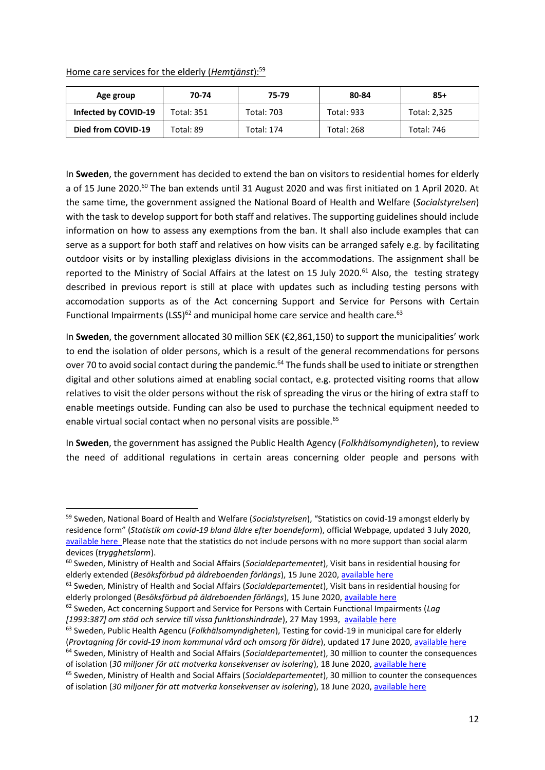#### Home care services for the elderly (*Hemtjänst*): 59

**.** 

| Age group            | 70-74      | 75-79             | 80-84             | $85+$        |
|----------------------|------------|-------------------|-------------------|--------------|
| Infected by COVID-19 | Total: 351 | <b>Total: 703</b> | <b>Total: 933</b> | Total: 2,325 |
| Died from COVID-19   | Total: 89  | <b>Total: 174</b> | <b>Total: 268</b> | Total: 746   |

In **Sweden**, the government has decided to extend the ban on visitors to residential homes for elderly a of 15 June 2020.<sup>60</sup> The ban extends until 31 August 2020 and was first initiated on 1 April 2020. At the same time, the government assigned the National Board of Health and Welfare (*Socialstyrelsen*) with the task to develop support for both staff and relatives. The supporting guidelines should include information on how to assess any exemptions from the ban. It shall also include examples that can serve as a support for both staff and relatives on how visits can be arranged safely e.g. by facilitating outdoor visits or by installing plexiglass divisions in the accommodations. The assignment shall be reported to the Ministry of Social Affairs at the latest on 15 July 2020.<sup>61</sup> Also, the testing strategy described in previous report is still at place with updates such as including testing persons with accomodation supports as of the Act concerning Support and Service for Persons with Certain Functional Impairments (LSS)<sup>62</sup> and municipal home care service and health care.<sup>63</sup>

In **Sweden**, the government allocated 30 million SEK (€2,861,150) to support the municipalities' work to end the isolation of older persons, which is a result of the general recommendations for persons over 70 to avoid social contact during the pandemic.<sup>64</sup> The funds shall be used to initiate or strengthen digital and other solutions aimed at enabling social contact, e.g. protected visiting rooms that allow relatives to visit the older persons without the risk of spreading the virus or the hiring of extra staff to enable meetings outside. Funding can also be used to purchase the technical equipment needed to enable virtual social contact when no personal visits are possible.<sup>65</sup>

In **Sweden**, the government has assigned the Public Health Agency (*Folkhälsomyndigheten*), to review the need of additional regulations in certain areas concerning older people and persons with

<sup>59</sup> Sweden, National Board of Health and Welfare (*Socialstyrelsen*), "Statistics on covid-19 amongst elderly by residence form" (*Statistik om covid-19 bland äldre efter boendeform*), official Webpage, updated 3 July 2020, [available here](https://www.socialstyrelsen.se/statistik-och-data/statistik/statistik-om-covid-19/statistik-om-covid-19-bland-aldre-efter-boendeform/) Please note that the statistics do not include persons with no more support than social alarm devices (*trygghetslarm*).

<sup>60</sup> Sweden, Ministry of Health and Social Affairs (*Socialdepartementet*), Visit bans in residential housing for elderly extended (*Besöksförbud på äldreboenden förlängs*), 15 June 2020, [available here](https://www.regeringen.se/pressmeddelanden/2020/06/besoksforbudet-pa-aldreboenden-forlangs/)

<sup>61</sup> Sweden, Ministry of Health and Social Affairs (*Socialdepartementet*), Visit bans in residential housing for elderly prolonged (*Besöksförbud på äldreboenden förlängs*), 15 June 2020[, available here](https://www.regeringen.se/pressmeddelanden/2020/06/besoksforbudet-pa-aldreboenden-forlangs/)

<sup>62</sup> Sweden, Act concerning Support and Service for Persons with Certain Functional Impairments (*Lag [1993:387] om stöd och service till vissa funktionshindrade*), 27 May 1993, [available here](https://www.riksdagen.se/sv/dokument-lagar/dokument/svensk-forfattningssamling/lag-1993387-om-stod-och-service-till-vissa_sfs-1993-387)

<sup>63</sup> Sweden, Public Health Agencu (*Folkhälsomyndigheten*), Testing for covid-19 in municipal care for elderly (*Provtagning för covid-19 inom kommunal vård och omsorg för äldre*), updated 17 June 2020, [available here](https://www.folkhalsomyndigheten.se/publicerat-material/publikationsarkiv/p/provtagning-for-covid-19-inom-sarskilt-boende-for-aldre/) <sup>64</sup> Sweden, Ministry of Health and Social Affairs (*Socialdepartementet*), 30 million to counter the consequences of isolation (*30 miljoner för att motverka konsekvenser av isolering*), 18 June 2020, [available here](https://www.regeringen.se/pressmeddelanden/2020/06/30-miljoner-for-att-motverka-konsekvenser-av-isolering/)

<sup>65</sup> Sweden, Ministry of Health and Social Affairs (*Socialdepartementet*), 30 million to counter the consequences of isolation (*30 miljoner för att motverka konsekvenser av isolering*), 18 June 2020, [available here](https://www.regeringen.se/pressmeddelanden/2020/06/30-miljoner-for-att-motverka-konsekvenser-av-isolering/)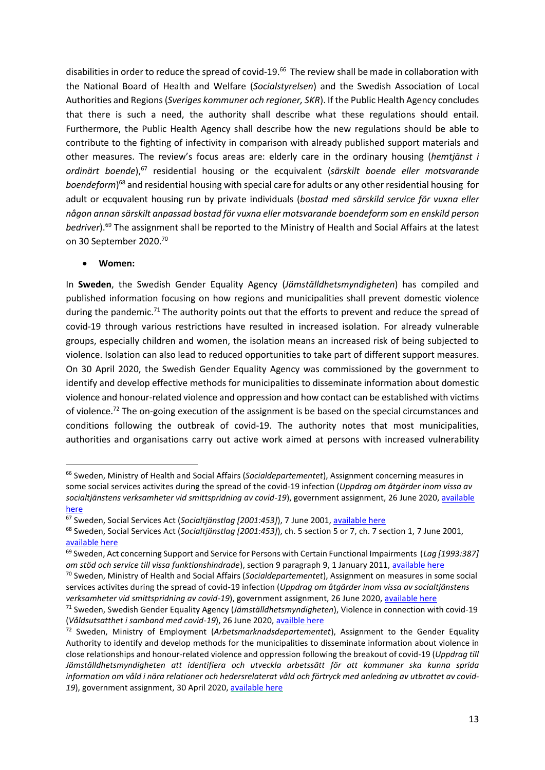disabilities in order to reduce the spread of covid-19.<sup>66</sup> The review shall be made in collaboration with the National Board of Health and Welfare (*Socialstyrelsen*) and the Swedish Association of Local Authorities and Regions (*Sveriges kommuner och regioner, SKR*). If the Public Health Agency concludes that there is such a need, the authority shall describe what these regulations should entail. Furthermore, the Public Health Agency shall describe how the new regulations should be able to contribute to the fighting of infectivity in comparison with already published support materials and other measures. The review's focus areas are: elderly care in the ordinary housing (*hemtjänst i ordinärt boende*), <sup>67</sup> residential housing or the ecquivalent (*särskilt boende eller motsvarande boendeform*) <sup>68</sup> and residential housing with special care for adults or any other residential housing for adult or ecquvalent housing run by private individuals (*bostad med särskild service för vuxna eller någon annan särskilt anpassad bostad för vuxna eller motsvarande boendeform som en enskild person bedriver*). <sup>69</sup> The assignment shall be reported to the Ministry of Health and Social Affairs at the latest on 30 September 2020.<sup>70</sup>

#### **Women:**

**.** 

In **Sweden**, the Swedish Gender Equality Agency (*Jämställdhetsmyndigheten*) has compiled and published information focusing on how regions and municipalities shall prevent domestic violence during the pandemic.<sup>71</sup> The authority points out that the efforts to prevent and reduce the spread of covid-19 through various restrictions have resulted in increased isolation. For already vulnerable groups, especially children and women, the isolation means an increased risk of being subjected to violence. Isolation can also lead to reduced opportunities to take part of different support measures. On 30 April 2020, the Swedish Gender Equality Agency was commissioned by the government to identify and develop effective methods for municipalities to disseminate information about domestic violence and honour-related violence and oppression and how contact can be established with victims of violence.<sup>72</sup> The on-going execution of the assignment is be based on the special circumstances and conditions following the outbreak of covid-19. The authority notes that most municipalities, authorities and organisations carry out active work aimed at persons with increased vulnerability

<sup>66</sup> Sweden, Ministry of Health and Social Affairs (*Socialdepartementet*), Assignment concerning measures in some social services activites during the spread of the covid-19 infection (*Uppdrag om åtgärder inom vissa av socialtjänstens verksamheter vid smittspridning av covid-19*), government assignment, 26 June 2020[, available](https://www.regeringen.se/regeringsuppdrag/2020/06/uppdrag-om-atgarder-inom-vissa-av-socialtjanstens-verksamheter-vid-smittspridning-av-covid-192/)  [here](https://www.regeringen.se/regeringsuppdrag/2020/06/uppdrag-om-atgarder-inom-vissa-av-socialtjanstens-verksamheter-vid-smittspridning-av-covid-192/)

<sup>&</sup>lt;sup>67</sup> Sweden, Social Services Act (Socialtjänstlag [2001:453]), 7 June 2001[, available here](https://www.riksdagen.se/sv/dokument-lagar/dokument/svensk-forfattningssamling/socialtjanstlag-2001453_sfs-2001-453)

<sup>68</sup> Sweden, Social Services Act (*Socialtjänstlag [2001:453]*), ch. 5 section 5 or 7, ch. 7 section 1, 7 June 2001, [available here](https://www.riksdagen.se/sv/dokument-lagar/dokument/svensk-forfattningssamling/socialtjanstlag-2001453_sfs-2001-453)

<sup>69</sup> Sweden, Act concerning Support and Service for Persons with Certain Functional Impairments (*Lag [1993:387] om stöd och service till vissa funktionshindrade*), section 9 paragraph 9, 1 January 2011[, available here](https://www.riksdagen.se/sv/dokument-lagar/dokument/svensk-forfattningssamling/lag-1993387-om-stod-och-service-till-vissa_sfs-1993-387)

<sup>70</sup> Sweden, Ministry of Health and Social Affairs (*Socialdepartementet*), Assignment on measures in some social services activites during the spread of covid-19 infection (*Uppdrag om åtgärder inom vissa av socialtjänstens verksamheter vid smittspridning av covid-19*), government assignment, 26 June 2020, [available here](https://www.regeringen.se/regeringsuppdrag/2020/06/uppdrag-om-atgarder-inom-vissa-av-socialtjanstens-verksamheter-vid-smittspridning-av-covid-192/)

<sup>71</sup> Sweden, Swedish Gender Equality Agency (*Jämställdhetsmyndigheten*), Violence in connection with covid-19 (*Våldsutsatthet i samband med covid-19*), 26 June 2020, [availble here](https://www.jamstalldhetsmyndigheten.se/mans-vald-mot-kvinnor/covid-19)

<sup>72</sup> Sweden, Ministry of Employment (*Arbetsmarknadsdepartementet*), Assignment to the Gender Equality Authority to identify and develop methods for the municipalities to disseminate information about violence in close relationships and honour-related violence and oppression following the breakout of covid-19 (*Uppdrag till Jämställdhetsmyndigheten att identifiera och utveckla arbetssätt för att kommuner ska kunna sprida* information om våld i nära relationer och hedersrelaterat våld och förtryck med anledning av utbrottet av covid-*19*), government assignment, 30 April 2020, [available](https://www.regeringen.se/regeringsuppdrag/2020/04/uppdrag-till-jamstalldhetsmyndigheten/) here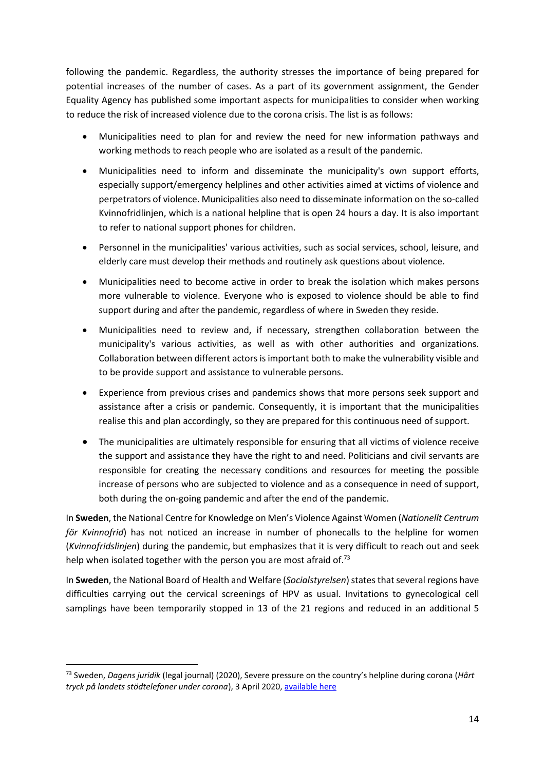following the pandemic. Regardless, the authority stresses the importance of being prepared for potential increases of the number of cases. As a part of its government assignment, the Gender Equality Agency has published some important aspects for municipalities to consider when working to reduce the risk of increased violence due to the corona crisis. The list is as follows:

- Municipalities need to plan for and review the need for new information pathways and working methods to reach people who are isolated as a result of the pandemic.
- Municipalities need to inform and disseminate the municipality's own support efforts, especially support/emergency helplines and other activities aimed at victims of violence and perpetrators of violence. Municipalities also need to disseminate information on the so-called Kvinnofridlinjen, which is a national helpline that is open 24 hours a day. It is also important to refer to national support phones for children.
- Personnel in the municipalities' various activities, such as social services, school, leisure, and elderly care must develop their methods and routinely ask questions about violence.
- Municipalities need to become active in order to break the isolation which makes persons more vulnerable to violence. Everyone who is exposed to violence should be able to find support during and after the pandemic, regardless of where in Sweden they reside.
- Municipalities need to review and, if necessary, strengthen collaboration between the municipality's various activities, as well as with other authorities and organizations. Collaboration between different actors is important both to make the vulnerability visible and to be provide support and assistance to vulnerable persons.
- Experience from previous crises and pandemics shows that more persons seek support and assistance after a crisis or pandemic. Consequently, it is important that the municipalities realise this and plan accordingly, so they are prepared for this continuous need of support.
- The municipalities are ultimately responsible for ensuring that all victims of violence receive the support and assistance they have the right to and need. Politicians and civil servants are responsible for creating the necessary conditions and resources for meeting the possible increase of persons who are subjected to violence and as a consequence in need of support, both during the on-going pandemic and after the end of the pandemic.

In **Sweden**, the National Centre for Knowledge on Men's Violence Against Women (*Nationellt Centrum för Kvinnofrid*) has not noticed an increase in number of phonecalls to the helpline for women (*Kvinnofridslinjen*) during the pandemic, but emphasizes that it is very difficult to reach out and seek help when isolated together with the person you are most afraid of.<sup>73</sup>

In **Sweden**, the National Board of Health and Welfare (*Socialstyrelsen*) states that several regions have difficulties carrying out the cervical screenings of HPV as usual. Invitations to gynecological cell samplings have been temporarily stopped in 13 of the 21 regions and reduced in an additional 5

 $\overline{a}$ 

<sup>73</sup> Sweden, *Dagens juridik* (legal journal) (2020), Severe pressure on the country's helpline during corona (*Hårt tryck på landets stödtelefoner under corona*), 3 April 2020, [available here](https://www.dagensjuridik.se/nyheter/hart-tryck-pa-landets-stodtelefoner-under-corona/)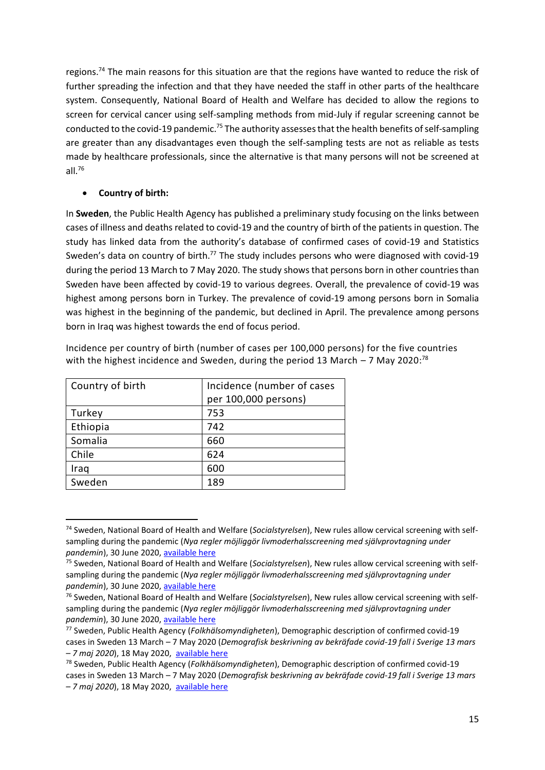regions.<sup>74</sup> The main reasons for this situation are that the regions have wanted to reduce the risk of further spreading the infection and that they have needed the staff in other parts of the healthcare system. Consequently, National Board of Health and Welfare has decided to allow the regions to screen for cervical cancer using self-sampling methods from mid-July if regular screening cannot be conducted to the covid-19 pandemic.<sup>75</sup> The authority assesses that the health benefits of self-sampling are greater than any disadvantages even though the self-sampling tests are not as reliable as tests made by healthcare professionals, since the alternative is that many persons will not be screened at all. $76$ 

#### **Country of birth:**

1

In **Sweden**, the Public Health Agency has published a preliminary study focusing on the links between cases of illness and deaths related to covid-19 and the country of birth of the patients in question. The study has linked data from the authority's database of confirmed cases of covid-19 and Statistics Sweden's data on country of birth.<sup>77</sup> The study includes persons who were diagnosed with covid-19 during the period 13 March to 7 May 2020. The study shows that persons born in other countries than Sweden have been affected by covid-19 to various degrees. Overall, the prevalence of covid-19 was highest among persons born in Turkey. The prevalence of covid-19 among persons born in Somalia was highest in the beginning of the pandemic, but declined in April. The prevalence among persons born in Iraq was highest towards the end of focus period.

Incidence per country of birth (number of cases per 100,000 persons) for the five countries with the highest incidence and Sweden, during the period 13 March  $-$  7 May 2020:<sup>78</sup>

| Country of birth | Incidence (number of cases<br>per 100,000 persons) |
|------------------|----------------------------------------------------|
| Turkey           | 753                                                |
| Ethiopia         | 742                                                |
| Somalia          | 660                                                |
| Chile            | 624                                                |
| Iraq             | 600                                                |
| Sweden           | 189                                                |

<sup>74</sup> Sweden, National Board of Health and Welfare (*Socialstyrelsen*), New rules allow cervical screening with selfsampling during the pandemic (*Nya regler möjliggör livmoderhalsscreening med självprovtagning under pandemin*), 30 June 2020, [available here](https://www.socialstyrelsen.se/om-socialstyrelsen/pressrum/press/nya-regler-mojliggor-livmoderhalsscreening-med-sjalvprovtagning-under-pandemin/)

<sup>75</sup> Sweden, National Board of Health and Welfare (*Socialstyrelsen*), New rules allow cervical screening with selfsampling during the pandemic (*Nya regler möjliggör livmoderhalsscreening med självprovtagning under pandemin*), 30 June 2020, [available here](https://www.socialstyrelsen.se/om-socialstyrelsen/pressrum/press/nya-regler-mojliggor-livmoderhalsscreening-med-sjalvprovtagning-under-pandemin/)

<sup>76</sup> Sweden, National Board of Health and Welfare (*Socialstyrelsen*), New rules allow cervical screening with selfsampling during the pandemic (*Nya regler möjliggör livmoderhalsscreening med självprovtagning under pandemin*), 30 June 2020, [available here](https://www.socialstyrelsen.se/om-socialstyrelsen/pressrum/press/nya-regler-mojliggor-livmoderhalsscreening-med-sjalvprovtagning-under-pandemin/)

<sup>77</sup> Sweden, Public Health Agency (*Folkhälsomyndigheten*), Demographic description of confirmed covid-19 cases in Sweden 13 March – 7 May 2020 (*Demografisk beskrivning av bekräfade covid-19 fall i Sverige 13 mars – 7 maj 2020*), 18 May 2020, [available here](https://www.folkhalsomyndigheten.se/publicerat-material/publikationsarkiv/c/demografisk-beskrivning-av-bekraftade-covid-19-fall-i-sverige-13-mars-7-maj-2020/)

<sup>78</sup> Sweden, Public Health Agency (*Folkhälsomyndigheten*), Demographic description of confirmed covid-19 cases in Sweden 13 March – 7 May 2020 (*Demografisk beskrivning av bekräfade covid-19 fall i Sverige 13 mars – 7 maj 2020*), 18 May 2020, [available here](https://www.folkhalsomyndigheten.se/publicerat-material/publikationsarkiv/c/demografisk-beskrivning-av-bekraftade-covid-19-fall-i-sverige-13-mars-7-maj-2020/)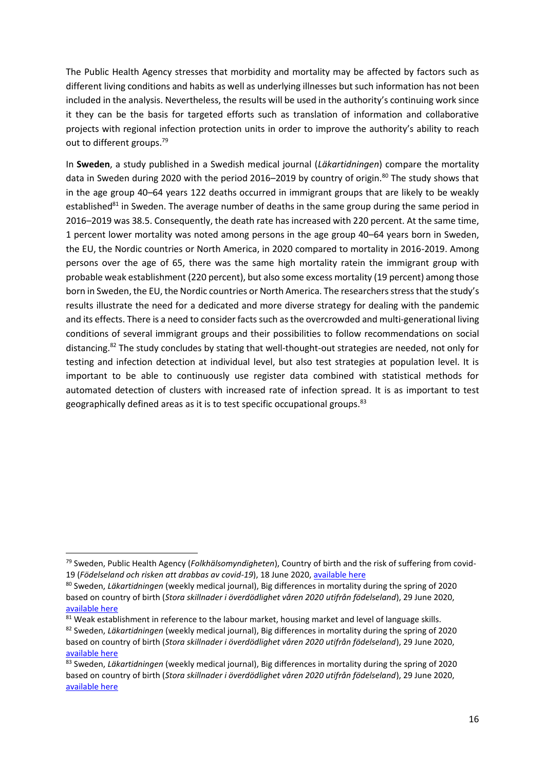The Public Health Agency stresses that morbidity and mortality may be affected by factors such as different living conditions and habits as well as underlying illnesses but such information has not been included in the analysis. Nevertheless, the results will be used in the authority's continuing work since it they can be the basis for targeted efforts such as translation of information and collaborative projects with regional infection protection units in order to improve the authority's ability to reach out to different groups.<sup>79</sup>

In **Sweden**, a study published in a Swedish medical journal (*Läkartidningen*) compare the mortality data in Sweden during 2020 with the period 2016–2019 by country of origin.<sup>80</sup> The study shows that in the age group 40–64 years 122 deaths occurred in immigrant groups that are likely to be weakly established $81$  in Sweden. The average number of deaths in the same group during the same period in 2016–2019 was 38.5. Consequently, the death rate has increased with 220 percent. At the same time, 1 percent lower mortality was noted among persons in the age group 40–64 years born in Sweden, the EU, the Nordic countries or North America, in 2020 compared to mortality in 2016-2019. Among persons over the age of 65, there was the same high mortality ratein the immigrant group with probable weak establishment (220 percent), but also some excess mortality (19 percent) among those born in Sweden, the EU, the Nordic countries or North America. The researchers stress that the study's results illustrate the need for a dedicated and more diverse strategy for dealing with the pandemic and its effects. There is a need to consider facts such as the overcrowded and multi-generational living conditions of several immigrant groups and their possibilities to follow recommendations on social distancing. <sup>82</sup> The study concludes by stating that well-thought-out strategies are needed, not only for testing and infection detection at individual level, but also test strategies at population level. It is important to be able to continuously use register data combined with statistical methods for automated detection of clusters with increased rate of infection spread. It is as important to test geographically defined areas as it is to test specific occupational groups.<sup>83</sup>

<sup>79</sup> Sweden, Public Health Agency (*Folkhälsomyndigheten*), Country of birth and the risk of suffering from covid-19 (*Födelseland och risken att drabbas av covid-19*), 18 June 2020, [available here](https://www.folkhalsomyndigheten.se/nyheter-och-press/nyhetsarkiv/2020/juni/fodelseland-och-risken-att-drabbas-av-covid-19/)

<sup>80</sup> Sweden, *Läkartidningen* (weekly medical journal), Big differences in mortality during the spring of 2020 based on country of birth (*Stora skillnader i överdödlighet våren 2020 utifrån födelseland*), 29 June 2020, [available here](https://lakartidningen.se/klinik-och-vetenskap-1/artiklar-1/originalstudie/2020/06/stora-skillnader-i-overdodlighet-varen-2020-utifran-fodelseland/?fbclid=IwAR0BW50L9bRZ0PEfXJPpNYoz2BAE7hRv4kzXFQRvdYS5VRDaBaLaI8HPlCs)

<sup>81</sup> Weak establishment in reference to the labour market, housing market and level of language skills. <sup>82</sup> Sweden, *Läkartidningen* (weekly medical journal), Big differences in mortality during the spring of 2020 based on country of birth (*Stora skillnader i överdödlighet våren 2020 utifrån födelseland*), 29 June 2020, [available here](https://lakartidningen.se/klinik-och-vetenskap-1/artiklar-1/originalstudie/2020/06/stora-skillnader-i-overdodlighet-varen-2020-utifran-fodelseland/?fbclid=IwAR0BW50L9bRZ0PEfXJPpNYoz2BAE7hRv4kzXFQRvdYS5VRDaBaLaI8HPlCs)

<sup>83</sup> Sweden, *Läkartidningen* (weekly medical journal), Big differences in mortality during the spring of 2020 based on country of birth (*Stora skillnader i överdödlighet våren 2020 utifrån födelseland*), 29 June 2020, [available here](https://lakartidningen.se/klinik-och-vetenskap-1/artiklar-1/originalstudie/2020/06/stora-skillnader-i-overdodlighet-varen-2020-utifran-fodelseland/?fbclid=IwAR0BW50L9bRZ0PEfXJPpNYoz2BAE7hRv4kzXFQRvdYS5VRDaBaLaI8HPlCs)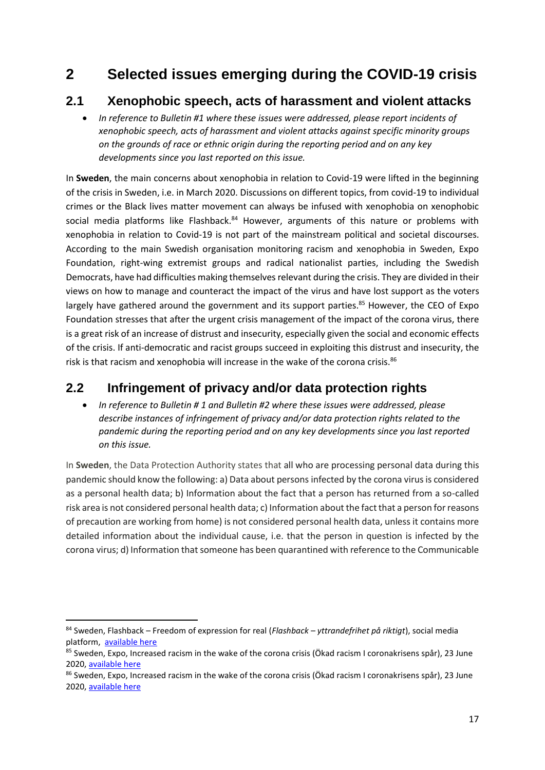# **2 Selected issues emerging during the COVID-19 crisis**

### **2.1 Xenophobic speech, acts of harassment and violent attacks**

 *In reference to Bulletin #1 where these issues were addressed, please report incidents of xenophobic speech, acts of harassment and violent attacks against specific minority groups on the grounds of race or ethnic origin during the reporting period and on any key developments since you last reported on this issue.*

In **Sweden**, the main concerns about xenophobia in relation to Covid-19 were lifted in the beginning of the crisis in Sweden, i.e. in March 2020. Discussions on different topics, from covid-19 to individual crimes or the Black lives matter movement can always be infused with xenophobia on xenophobic social media platforms like Flashback.<sup>84</sup> However, arguments of this nature or problems with xenophobia in relation to Covid-19 is not part of the mainstream political and societal discourses. According to the main Swedish organisation monitoring racism and xenophobia in Sweden, Expo Foundation, right-wing extremist groups and radical nationalist parties, including the Swedish Democrats, have had difficulties making themselves relevant during the crisis. They are divided in their views on how to manage and counteract the impact of the virus and have lost support as the voters largely have gathered around the government and its support parties.<sup>85</sup> However, the CEO of Expo Foundation stresses that after the urgent crisis management of the impact of the corona virus, there is a great risk of an increase of distrust and insecurity, especially given the social and economic effects of the crisis. If anti-democratic and racist groups succeed in exploiting this distrust and insecurity, the risk is that racism and xenophobia will increase in the wake of the corona crisis.<sup>86</sup>

## **2.2 Infringement of privacy and/or data protection rights**

 *In reference to Bulletin # 1 and Bulletin #2 where these issues were addressed, please describe instances of infringement of privacy and/or data protection rights related to the pandemic during the reporting period and on any key developments since you last reported on this issue.*

In **Sweden**, the Data Protection Authority states that all who are processing personal data during this pandemic should know the following: a) Data about persons infected by the corona virus is considered as a personal health data; b) Information about the fact that a person has returned from a so-called risk area is not considered personal health data; c) Information about the fact that a person for reasons of precaution are working from home) is not considered personal health data, unless it contains more detailed information about the individual cause, i.e. that the person in question is infected by the corona virus; d) Information that someone has been quarantined with reference to the Communicable

<sup>84</sup> Sweden, Flashback – Freedom of expression for real (*Flashback – yttrandefrihet på riktigt*), social media platform, [available here](https://www.flashback.org/)

<sup>&</sup>lt;sup>85</sup> Sweden, Expo, Increased racism in the wake of the corona crisis (Ökad racism I coronakrisens spår), 23 June 2020, [available here](https://expo.se/2020/06/%C3%B6kad-rasism-i-coronakrisens-sp%C3%A5r)

<sup>86</sup> Sweden, Expo, Increased racism in the wake of the corona crisis (Ökad racism I coronakrisens spår), 23 June 2020, [available here](https://expo.se/2020/06/%C3%B6kad-rasism-i-coronakrisens-sp%C3%A5r)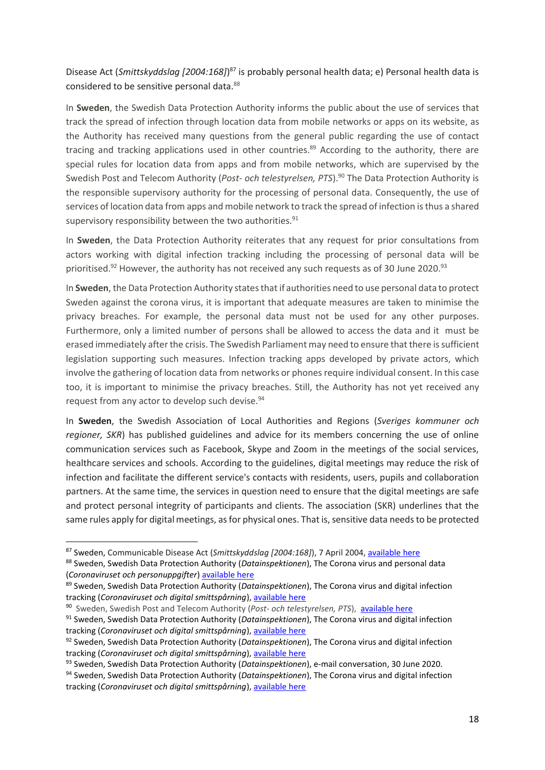#### Disease Act (*Smittskyddslag [2004:168]*) <sup>87</sup> is probably personal health data; e) Personal health data is considered to be sensitive personal data.<sup>88</sup>

In **Sweden**, the Swedish Data Protection Authority informs the public about the use of services that track the spread of infection through location data from mobile networks or apps on its website, as the Authority has received many questions from the general public regarding the use of contact tracing and tracking applications used in other countries.<sup>89</sup> According to the authority, there are special rules for location data from apps and from mobile networks, which are supervised by the Swedish Post and Telecom Authority (*Post- och telestyrelsen, PTS*). <sup>90</sup> The Data Protection Authority is the responsible supervisory authority for the processing of personal data. Consequently, the use of services of location data from apps and mobile network to track the spread of infection is thus a shared supervisory responsibility between the two authorities.<sup>91</sup>

In **Sweden**, the Data Protection Authority reiterates that any request for prior consultations from actors working with digital infection tracking including the processing of personal data will be prioritised.<sup>92</sup> However, the authority has not received any such requests as of 30 June 2020.<sup>93</sup>

In **Sweden**, the Data Protection Authority states that if authorities need to use personal data to protect Sweden against the corona virus, it is important that adequate measures are taken to minimise the privacy breaches. For example, the personal data must not be used for any other purposes. Furthermore, only a limited number of persons shall be allowed to access the data and it must be erased immediately after the crisis. The Swedish Parliament may need to ensure that there is sufficient legislation supporting such measures. Infection tracking apps developed by private actors, which involve the gathering of location data from networks or phones require individual consent. In this case too, it is important to minimise the privacy breaches. Still, the Authority has not yet received any request from any actor to develop such devise.<sup>94</sup>

In **Sweden**, the Swedish Association of Local Authorities and Regions (*Sveriges kommuner och regioner, SKR*) has published guidelines and advice for its members concerning the use of online communication services such as Facebook, Skype and Zoom in the meetings of the social services, healthcare services and schools. According to the guidelines, digital meetings may reduce the risk of infection and facilitate the different service's contacts with residents, users, pupils and collaboration partners. At the same time, the services in question need to ensure that the digital meetings are safe and protect personal integrity of participants and clients. The association (SKR) underlines that the same rules apply for digital meetings, as for physical ones. That is, sensitive data needs to be protected

<sup>93</sup> Sweden, Swedish Data Protection Authority (*Datainspektionen*), e-mail conversation, 30 June 2020. <sup>94</sup> Sweden, Swedish Data Protection Authority (*Datainspektionen*), The Corona virus and digital infection

<sup>87</sup> Sweden, Communicable Disease Act (*Smittskyddslag [2004:168]*), 7 April 2004, [available here](https://www.riksdagen.se/sv/dokument-lagar/dokument/svensk-forfattningssamling/smittskyddslag-2004168_sfs-2004-168)

<sup>88</sup> Sweden, Swedish Data Protection Authority (*Datainspektionen*), The Corona virus and personal data (*Coronaviruset och personuppgifter*) [available here](https://www.datainspektionen.se/nyheter/coronavirus-och-personuppgifter/)

<sup>89</sup> Sweden, Swedish Data Protection Authority (*Datainspektionen*), The Corona virus and digital infection tracking (*Coronaviruset och digital smittspårning*), [available here](https://www.datainspektionen.se/nyheter/coronaviruset-och-digital-smittsparning/)

<sup>90</sup> Sweden, Swedish Post and Telecom Authority (*Post- och telestyrelsen, PTS*), [available here](https://www.pts.se/sv/om-pts/)

<sup>91</sup> Sweden, Swedish Data Protection Authority (*Datainspektionen*), The Corona virus and digital infection tracking (*Coronaviruset och digital smittspårning*), [available here](https://www.datainspektionen.se/nyheter/coronaviruset-och-digital-smittsparning/)

<sup>92</sup> Sweden, Swedish Data Protection Authority (*Datainspektionen*), The Corona virus and digital infection tracking (*Coronaviruset och digital smittspårning*), [available here](https://www.datainspektionen.se/nyheter/coronaviruset-och-digital-smittsparning/)

tracking (*Coronaviruset och digital smittspårning*), [available here](https://www.datainspektionen.se/nyheter/coronaviruset-och-digital-smittsparning/)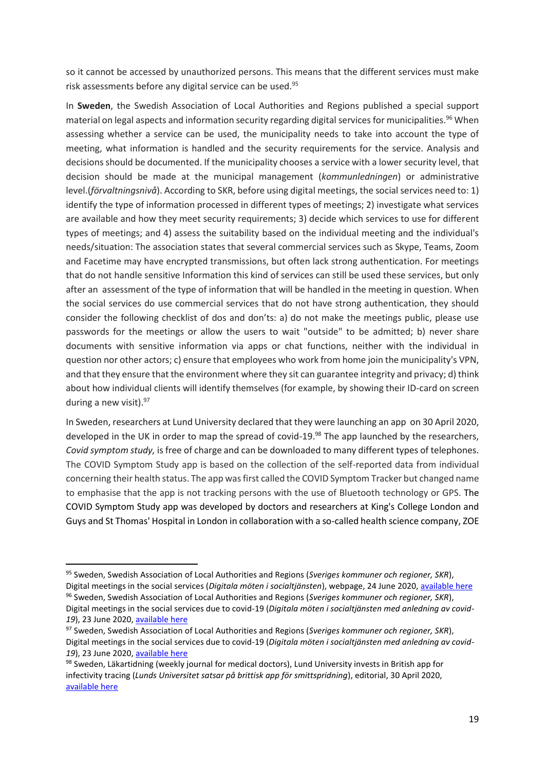so it cannot be accessed by unauthorized persons. This means that the different services must make risk assessments before any digital service can be used.<sup>95</sup>

In **Sweden**, the Swedish Association of Local Authorities and Regions published a special support material on legal aspects and information security regarding digital services for municipalities.<sup>96</sup> When assessing whether a service can be used, the municipality needs to take into account the type of meeting, what information is handled and the security requirements for the service. Analysis and decisions should be documented. If the municipality chooses a service with a lower security level, that decision should be made at the municipal management (*kommunledningen*) or administrative level.(*förvaltningsnivå*). According to SKR, before using digital meetings, the social services need to: 1) identify the type of information processed in different types of meetings; 2) investigate what services are available and how they meet security requirements; 3) decide which services to use for different types of meetings; and 4) assess the suitability based on the individual meeting and the individual's needs/situation: The association states that several commercial services such as Skype, Teams, Zoom and Facetime may have encrypted transmissions, but often lack strong authentication. For meetings that do not handle sensitive Information this kind of services can still be used these services, but only after an assessment of the type of information that will be handled in the meeting in question. When the social services do use commercial services that do not have strong authentication, they should consider the following checklist of dos and don'ts: a) do not make the meetings public, please use passwords for the meetings or allow the users to wait "outside" to be admitted; b) never share documents with sensitive information via apps or chat functions, neither with the individual in question nor other actors; c) ensure that employees who work from home join the municipality's VPN, and that they ensure that the environment where they sit can guarantee integrity and privacy; d) think about how individual clients will identify themselves (for example, by showing their ID-card on screen during a new visit). $97$ 

In Sweden, researchers at Lund University declared that they were launching an app on 30 April 2020, developed in the UK in order to map the spread of covid-19.<sup>98</sup> The app launched by the researchers, *Covid symptom study,* is free of charge and can be downloaded to many different types of telephones. The COVID Symptom Study app is based on the collection of the self-reported data from individual concerning their health status. The app was first called the COVID Symptom Tracker but changed name to emphasise that the app is not tracking persons with the use of Bluetooth technology or GPS. The COVID Symptom Study app was developed by doctors and researchers at King's College London and Guys and St Thomas' Hospital in London in collaboration with a so-called health science company, ZOE

<sup>95</sup> Sweden, Swedish Association of Local Authorities and Regions (*Sveriges kommuner och regioner, SKR*), Digital meetings in the social services (*Digitala möten i socialtjänsten*), webpage, 24 June 2020[, available here](https://skr.se/covid19ochdetnyacoronaviruset/socialtjanstaldreomsorgfunktionsnedsattning/digitalamotenisocialtjansten.32749.html) <sup>96</sup> Sweden, Swedish Association of Local Authorities and Regions (*Sveriges kommuner och regioner, SKR*),

Digital meetings in the social services due to covid-19 (*Digitala möten i socialtjänsten med anledning av covid-19*), 23 June 2020, [available here](https://skr.se/download/18.52904807172c8a8649db327e/1592925320392/Stodmaterial-socialtj%C3%A4nst-digitala-moten-maacovid19.pdf)

<sup>97</sup> Sweden, Swedish Association of Local Authorities and Regions (*Sveriges kommuner och regioner, SKR*), Digital meetings in the social services due to covid-19 (*Digitala möten i socialtjänsten med anledning av covid-19*), 23 June 2020, [available here](https://skr.se/download/18.52904807172c8a8649db327e/1592925320392/Stodmaterial-socialtj%C3%A4nst-digitala-moten-maacovid19.pdf)

<sup>98</sup> Sweden, Läkartidning (weekly journal for medical doctors), Lund University invests in British app for infectivity tracing (*Lunds Universitet satsar på brittisk app för smittspridning*), editorial, 30 April 2020, [available here](https://lakartidningen.se/aktuellt/nyheter/2020/04/lunds-universitet-satsar-pa-brittisk-app-for-smittspridning/)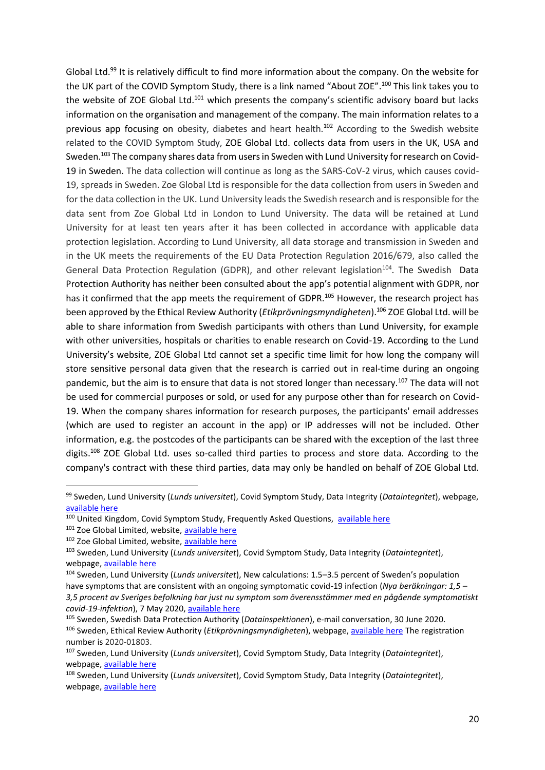Global Ltd.<sup>99</sup> It is relatively difficult to find more information about the company. On the website for the UK part of the COVID Symptom Study, there is a link named "About ZOE".<sup>100</sup> This link takes you to the website of ZOE Global Ltd.<sup>101</sup> which presents the company's scientific advisory board but lacks information on the organisation and management of the company. The main information relates to a previous app focusing on obesity, diabetes and heart health.<sup>102</sup> According to the Swedish website related to the COVID Symptom Study, ZOE Global Ltd. collects data from users in the UK, USA and Sweden.<sup>103</sup> The company shares data from users in Sweden with Lund University for research on Covid-19 in Sweden. The data collection will continue as long as the SARS-CoV-2 virus, which causes covid-19, spreads in Sweden. Zoe Global Ltd is responsible for the data collection from users in Sweden and for the data collection in the UK. Lund University leads the Swedish research and is responsible for the data sent from Zoe Global Ltd in London to Lund University. The data will be retained at Lund University for at least ten years after it has been collected in accordance with applicable data protection legislation. According to Lund University, all data storage and transmission in Sweden and in the UK meets the requirements of the EU Data Protection Regulation 2016/679, also called the General Data Protection Regulation (GDPR), and other relevant legislation<sup>104</sup>. The Swedish Data Protection Authority has neither been consulted about the app's potential alignment with GDPR, nor has it confirmed that the app meets the requirement of GDPR.<sup>105</sup> However, the research project has been approved by the Ethical Review Authority (*Etikprövningsmyndigheten*).<sup>106</sup> ZOE Global Ltd. will be able to share information from Swedish participants with others than Lund University, for example with other universities, hospitals or charities to enable research on Covid-19. According to the Lund University's website, ZOE Global Ltd cannot set a specific time limit for how long the company will store sensitive personal data given that the research is carried out in real-time during an ongoing pandemic, but the aim is to ensure that data is not stored longer than necessary.<sup>107</sup> The data will not be used for commercial purposes or sold, or used for any purpose other than for research on Covid-19. When the company shares information for research purposes, the participants' email addresses (which are used to register an account in the app) or IP addresses will not be included. Other information, e.g. the postcodes of the participants can be shared with the exception of the last three digits.<sup>108</sup> ZOE Global Ltd. uses so-called third parties to process and store data. According to the company's contract with these third parties, data may only be handled on behalf of ZOE Global Ltd.

- <sup>101</sup> Zoe Global Limited, website[, available here](https://joinzoe.com/)
- 102 Zoe Global Limited, website[, available here](https://joinzoe.com/)

<sup>99</sup> Sweden, Lund University (*Lunds universitet*), Covid Symptom Study, Data Integrity (*Dataintegritet*), webpage, [available here](https://www.covid19app.lu.se/vanliga-fragor/dataintegritet)

<sup>&</sup>lt;sup>100</sup> United Kingdom, Covid Symptom Study, Frequently Asked Questions, [available here](https://covid19.joinzoe.com/faq)

<sup>103</sup> Sweden, Lund University (*Lunds universitet*), Covid Symptom Study, Data Integrity (*Dataintegritet*), webpage, [available here](https://www.covid19app.lu.se/vanliga-fragor/dataintegritet)

<sup>104</sup> Sweden, Lund University (*Lunds universitet*), New calculations: 1.5–3.5 percent of Sweden's population have symptoms that are consistent with an ongoing symptomatic covid-19 infection (*Nya beräkningar: 1,5 – 3,5 procent av Sveriges befolkning har just nu symptom som överensstämmer med en pågående symptomatiskt covid-19-infektion*), 7 May 2020[, available here](https://news.cision.com/se/lunds-universitet/r/nya-berakningar--1-5-3-5-procent-av-sveriges-befolkning-har-just-nu-symptom-som-overensstammer-med-e,c3106615)

<sup>105</sup> Sweden, Swedish Data Protection Authority (*Datainspektionen*), e-mail conversation, 30 June 2020. <sup>106</sup> Sweden, Ethical Review Authority (*Etikprövningsmyndigheten*), webpage[, available here](https://etikprovningsmyndigheten.se/) The registration number is 2020-01803.

<sup>107</sup> Sweden, Lund University (*Lunds universitet*), Covid Symptom Study, Data Integrity (*Dataintegritet*), webpage, [available here](https://www.covid19app.lu.se/vanliga-fragor/dataintegritet)

<sup>108</sup> Sweden, Lund University (*Lunds universitet*), Covid Symptom Study, Data Integrity (*Dataintegritet*), webpage, [available here](https://www.covid19app.lu.se/vanliga-fragor/dataintegritet)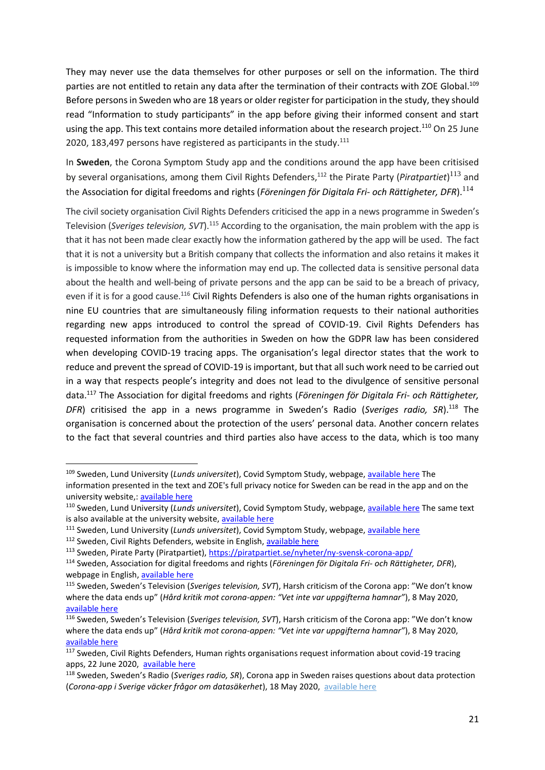They may never use the data themselves for other purposes or sell on the information. The third parties are not entitled to retain any data after the termination of their contracts with ZOE Global.<sup>109</sup> Before persons in Sweden who are 18 years or older register for participation in the study, they should read "Information to study participants" in the app before giving their informed consent and start using the app. This text contains more detailed information about the research project.<sup>110</sup> On 25 June 2020, 183,497 persons have registered as participants in the study.<sup>111</sup>

In **Sweden**, the Corona Symptom Study app and the conditions around the app have been critisised by several organisations, among them Civil Rights Defenders,<sup>112</sup> the Pirate Party (*Piratpartiet*)<sup>113</sup> and the Association for digital freedoms and rights (*Föreningen för Digitala Fri- och Rättigheter, DFR*). 114

The civil society organisation Civil Rights Defenders criticised the app in a news programme in Sweden's Television (*Sveriges television, SVT*).<sup>115</sup> According to the organisation, the main problem with the app is that it has not been made clear exactly how the information gathered by the app will be used. The fact that it is not a university but a British company that collects the information and also retains it makes it is impossible to know where the information may end up. The collected data is sensitive personal data about the health and well-being of private persons and the app can be said to be a breach of privacy, even if it is for a good cause.<sup>116</sup> Civil Rights Defenders is also one of the human rights organisations in nine EU countries that are simultaneously filing information requests to their national authorities regarding new apps introduced to control the spread of COVID-19. Civil Rights Defenders has requested information from the authorities in Sweden on how the GDPR law has been considered when developing COVID-19 tracing apps. The organisation's legal director states that the work to reduce and prevent the spread of COVID-19 is important, but that all such work need to be carried out in a way that respects people's integrity and does not lead to the divulgence of sensitive personal data.<sup>117</sup> The Association for digital freedoms and rights (*Föreningen för Digitala Fri- och Rättigheter, DFR*) critisised the app in a news programme in Sweden's Radio (*Sveriges radio, SR*).<sup>118</sup> The organisation is concerned about the protection of the users' personal data. Another concern relates to the fact that several countries and third parties also have access to the data, which is too many

1

<sup>109</sup> Sweden, Lund University (*Lunds universitet*), Covid Symptom Study, webpage, [available here](https://www.covid19app.lu.se/) The information presented in the text and ZOE's full privacy notice for Sweden can be read in the app and on the university website,[: available here](https://www.covid19app.lu.se/integritetsmeddelande-zoe-ltd)

<sup>110</sup> Sweden, Lund University (*Lunds universitet*), Covid Symptom Study, webpage, [available here](https://www.covid19app.lu.se/) The same text is also available at the university website, [available here](https://www.covid19app.lu.se/information-till-studiedeltagare)

<sup>111</sup> Sweden, Lund University (*Lunds universitet*), Covid Symptom Study, webpage, [available here](https://www.covid19app.lu.se/)

<sup>&</sup>lt;sup>112</sup> Sweden, Civil Rights Defenders, website in English, [available here](https://crd.org/)

<sup>113</sup> Sweden, Pirate Party (Piratpartiet),<https://piratpartiet.se/nyheter/ny-svensk-corona-app/>

<sup>114</sup> Sweden, Association for digital freedoms and rights (*Föreningen för Digitala Fri- och Rättigheter, DFR*), webpage in English[, available here](https://www.dfri.se/dfri/?lang=en)

<sup>115</sup> Sweden, Sweden's Television (*Sveriges television, SVT*), Harsh criticism of the Corona app: "We don't know where the data ends up" (*Hård kritik mot corona-appen: "Vet inte var uppgifterna hamnar"*), 8 May 2020, [available here](https://www.svt.se/nyheter/lokalt/skane/kritik-mot-integritetsskyddet-i-nya-corona-appen)

<sup>116</sup> Sweden, Sweden's Television (*Sveriges television, SVT*), Harsh criticism of the Corona app: "We don't know where the data ends up" (*Hård kritik mot corona-appen: "Vet inte var uppgifterna hamnar"*), 8 May 2020, [available here](https://www.svt.se/nyheter/lokalt/skane/kritik-mot-integritetsskyddet-i-nya-corona-appen)

<sup>117</sup> Sweden, Civil Rights Defenders, Human rights organisations request information about covid-19 tracing apps, 22 June 2020, [available here](https://crd.org/2020/06/22/human-rights-organisations-request-information-about-covid-19-tracing-apps/)

<sup>118</sup> Sweden, Sweden's Radio (*Sveriges radio, SR*), Corona app in Sweden raises questions about data protection (*Corona-app i Sverige väcker frågor om datasäkerhet*), 18 May 2020, [available here](https://sverigesradio.se/sida/artikel.aspx?programid=5335&artikel=7473465)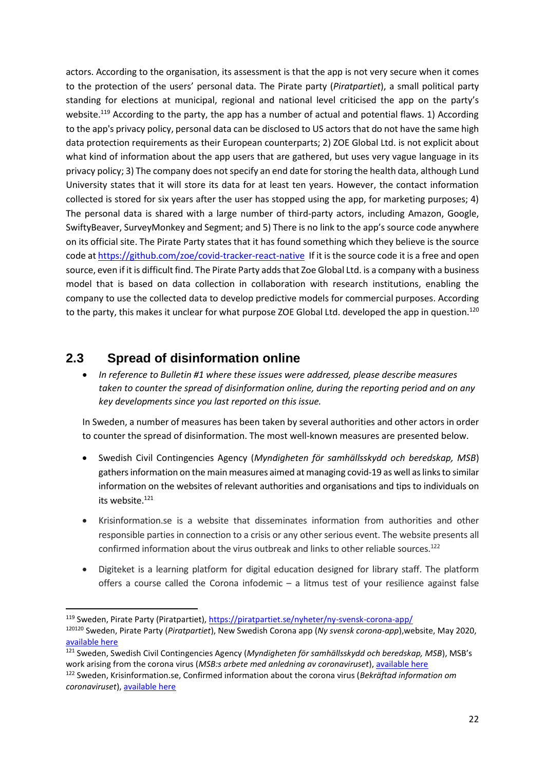actors. According to the organisation, its assessment is that the app is not very secure when it comes to the protection of the users' personal data. The Pirate party (*Piratpartiet*), a small political party standing for elections at municipal, regional and national level criticised the app on the party's website.<sup>119</sup> According to the party, the app has a number of actual and potential flaws. 1) According to the app's privacy policy, personal data can be disclosed to US actors that do not have the same high data protection requirements as their European counterparts; 2) ZOE Global Ltd. is not explicit about what kind of information about the app users that are gathered, but uses very vague language in its privacy policy; 3) The company does not specify an end date for storing the health data, although Lund University states that it will store its data for at least ten years. However, the contact information collected is stored for six years after the user has stopped using the app, for marketing purposes; 4) The personal data is shared with a large number of third-party actors, including Amazon, Google, SwiftyBeaver, SurveyMonkey and Segment; and 5) There is no link to the app's source code anywhere on its official site. The Pirate Party states that it has found something which they believe is the source code a[t https://github.com/zoe/covid-tracker-react-native](https://github.com/zoe/covid-tracker-react-native) If it is the source code it is a free and open source, even if it is difficult find. The Pirate Party adds that Zoe Global Ltd. is a company with a business model that is based on data collection in collaboration with research institutions, enabling the company to use the collected data to develop predictive models for commercial purposes. According to the party, this makes it unclear for what purpose ZOE Global Ltd. developed the app in question.<sup>120</sup>

### **2.3 Spread of disinformation online**

 *In reference to Bulletin #1 where these issues were addressed, please describe measures taken to counter the spread of disinformation online, during the reporting period and on any key developments since you last reported on this issue.*

In Sweden, a number of measures has been taken by several authorities and other actors in order to counter the spread of disinformation. The most well-known measures are presented below.

- Swedish Civil Contingencies Agency (*Myndigheten för samhällsskydd och beredskap, MSB*) gathers information on the main measures aimed at managing covid-19 as well as links to similar information on the websites of relevant authorities and organisations and tips to individuals on its website.<sup>121</sup>
- Krisinformation.se is a website that disseminates information from authorities and other responsible parties in connection to a crisis or any other serious event. The website presents all confirmed information about the virus outbreak and links to other reliable sources.<sup>122</sup>
- Digiteket is a learning platform for digital education designed for library staff. The platform offers a course called the Corona infodemic  $-$  a litmus test of your resilience against false

**<sup>.</sup>** <sup>119</sup> Sweden, Pirate Party (Piratpartiet),<https://piratpartiet.se/nyheter/ny-svensk-corona-app/>

<sup>120120</sup> Sweden, Pirate Party (*Piratpartiet*), New Swedish Corona app (*Ny svensk corona-app*),website, May 2020, [available here](https://piratpartiet.se/nyheter/ny-svensk-corona-app/)

<sup>121</sup> Sweden, Swedish Civil Contingencies Agency (*Myndigheten för samhällsskydd och beredskap, MSB*), MSB's work arising from the corona virus (*MSB:s arbete med anledning av coronaviruset*), [available here](https://www.msb.se/sv/aktuellt/pagaende-handelser-och-insatser/msbs-arbete-med-anledning-av-coronaviruset/) <sup>122</sup> Sweden, Krisinformation.se, Confirmed information about the corona virus (*Bekräftad information om coronaviruset*), [available here](https://www.krisinformation.se/detta-kan-handa/handelser-och-storningar/20192/myndigheterna-om-det-nya-coronaviruset)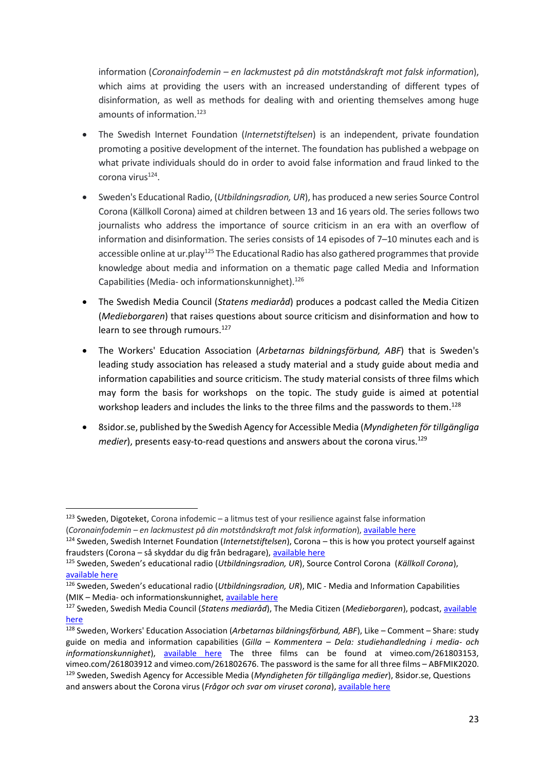information (*Coronainfodemin – en lackmustest på din motståndskraft mot falsk information*), which aims at providing the users with an increased understanding of different types of disinformation, as well as methods for dealing with and orienting themselves among huge amounts of information.<sup>123</sup>

- The Swedish Internet Foundation (*Internetstiftelsen*) is an independent, private foundation promoting a positive development of the internet. The foundation has published a webpage on what private individuals should do in order to avoid false information and fraud linked to the corona virus<sup>124</sup>.
- Sweden's Educational Radio, (*Utbildningsradion, UR*), has produced a new series Source Control Corona (Källkoll Corona) aimed at children between 13 and 16 years old. The series follows two journalists who address the importance of source criticism in an era with an overflow of information and disinformation. The series consists of 14 episodes of 7–10 minutes each and is accessible online at ur.play<sup>125</sup> The Educational Radio has also gathered programmes that provide knowledge about media and information on a thematic page called Media and Information Capabilities (Media- och informationskunnighet).<sup>126</sup>
- The Swedish Media Council (*Statens mediaråd*) produces a podcast called the Media Citizen (*Medieborgaren*) that raises questions about source criticism and disinformation and how to learn to see through rumours.<sup>127</sup>
- The Workers' Education Association (*Arbetarnas bildningsförbund, ABF*) that is Sweden's leading study association has released a study material and a study guide about media and information capabilities and source criticism. The study material consists of three films which may form the basis for workshops on the topic. The study guide is aimed at potential workshop leaders and includes the links to the three films and the passwords to them.<sup>128</sup>
- 8sidor.se, published by the Swedish Agency for Accessible Media (*Myndigheten för tillgängliga medier*), presents easy-to-read questions and answers about the corona virus.<sup>129</sup>

 $123$  Sweden, Digoteket, Corona infodemic – a litmus test of your resilience against false information (*Coronainfodemin – en lackmustest på din motståndskraft mot falsk information*), [available here](https://digiteket.se/kurs/coronainfodemin-ett-lackmustest-pa-din-motstandskraft-mot-falsk-information/)

<sup>124</sup> Sweden, Swedish Internet Foundation (*Internetstiftelsen*), Corona – this is how you protect yourself against fraudsters (Corona – så skyddar du dig från bedragare), [available here](https://internetstiftelsen.se/nyheter/corona-sa-skyddar-du-dig-fran-bedragare/)

<sup>125</sup> Sweden, Sweden's educational radio (*Utbildningsradion, UR*), Source Control Corona (*Källkoll Corona*), [available here](https://urplay.se/serie/217192-kallkoll-corona)

<sup>126</sup> Sweden, Sweden's educational radio (*Utbildningsradion, UR*), MIC - Media and Information Capabilities (MIK – Media- och informationskunnighet, [available here](https://urplay.se/tema/mik)

<sup>127</sup> Sweden, Swedish Media Council (*Statens mediaråd*), The Media Citizen (*Medieborgaren*), podcast, [available](https://statensmedierad.se/publikationer/poddar/medieborgarpodden9gardetattkannaigenettpropagandatrolllangd35minuter.3796.html)  [here](https://statensmedierad.se/publikationer/poddar/medieborgarpodden9gardetattkannaigenettpropagandatrolllangd35minuter.3796.html)

<sup>128</sup> Sweden, Workers' Education Association (*Arbetarnas bildningsförbund, ABF*), Like – Comment – Share: study guide on media and information capabilities (*Gilla – Kommentera – Dela: studiehandledning i media- och informationskunnighet*), [available here](https://webbutik.abf.se/product/nyheter/0/0/gilla__kommentera__dela_studiehandledning_i_mik) The three films can be found at vimeo.com/261803153, vimeo.com/261803912 and vimeo.com/261802676. The password is the same for all three films – ABFMIK2020. <sup>129</sup> Sweden, Swedish Agency for Accessible Media (*Myndigheten för tillgängliga medier*), 8sidor.se, Questions and answers about the Corona virus (*Frågor och svar om viruset corona*)[, available here](https://8sidor.se/8-sidor/2020/03/fragor-och-svar-om-viruset-corona/)